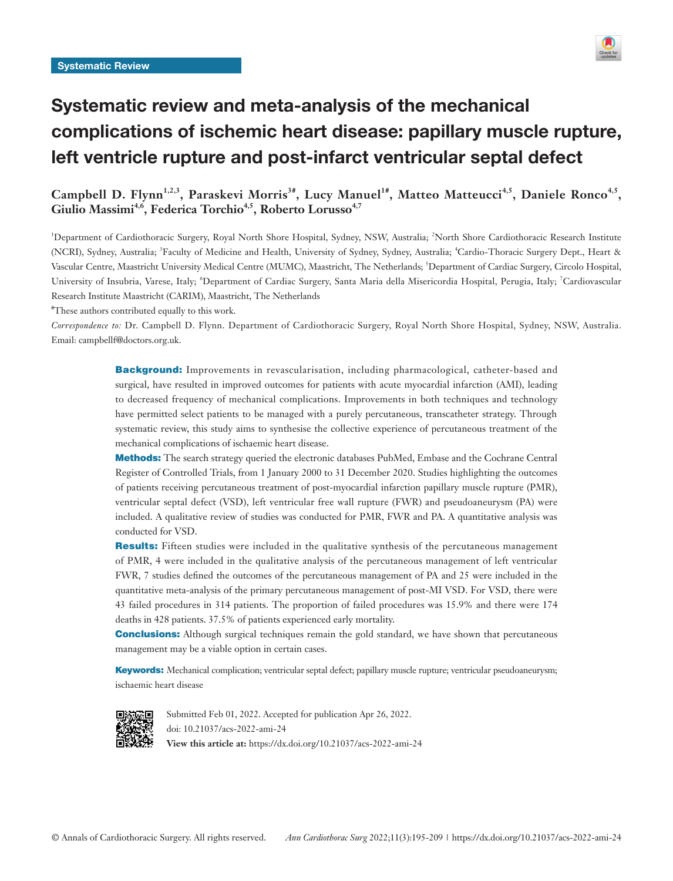

# Systematic review and meta-analysis of the mechanical complications of ischemic heart disease: papillary muscle rupture, left ventricle rupture and post-infarct ventricular septal defect

Campbell D. Flynn<sup>1,2,3</sup>, Paraskevi Morris<sup>3#</sup>, Lucy Manuel<sup>1#</sup>, Matteo Matteucci<sup>4,5</sup>, Daniele Ronco<sup>4,5</sup>, Giulio Massimi<sup>4,6</sup>, Federica Torchio<sup>4,5</sup>, Roberto Lorusso<sup>4,7</sup>

<sup>1</sup>Department of Cardiothoracic Surgery, Royal North Shore Hospital, Sydney, NSW, Australia; <sup>2</sup>North Shore Cardiothoracic Research Institute (NCRI), Sydney, Australia; <sup>3</sup>Faculty of Medicine and Health, University of Sydney, Sydney, Australia; <sup>4</sup>Cardio-Thoracic Surgery Dept., Heart & Vascular Centre, Maastricht University Medical Centre (MUMC), Maastricht, The Netherlands; <sup>5</sup>Department of Cardiac Surgery, Circolo Hospital, University of Insubria, Varese, Italy; 'Department of Cardiac Surgery, Santa Maria della Misericordia Hospital, Perugia, Italy; <sup>7</sup>Cardiovascular Research Institute Maastricht (CARIM), Maastricht, The Netherlands

# These authors contributed equally to this work.

*Correspondence to:* Dr. Campbell D. Flynn. Department of Cardiothoracic Surgery, Royal North Shore Hospital, Sydney, NSW, Australia. Email: campbellf@doctors.org.uk.

> **Background:** Improvements in revascularisation, including pharmacological, catheter-based and surgical, have resulted in improved outcomes for patients with acute myocardial infarction (AMI), leading to decreased frequency of mechanical complications. Improvements in both techniques and technology have permitted select patients to be managed with a purely percutaneous, transcatheter strategy. Through systematic review, this study aims to synthesise the collective experience of percutaneous treatment of the mechanical complications of ischaemic heart disease.

> Methods: The search strategy queried the electronic databases PubMed, Embase and the Cochrane Central Register of Controlled Trials, from 1 January 2000 to 31 December 2020. Studies highlighting the outcomes of patients receiving percutaneous treatment of post-myocardial infarction papillary muscle rupture (PMR), ventricular septal defect (VSD), left ventricular free wall rupture (FWR) and pseudoaneurysm (PA) were included. A qualitative review of studies was conducted for PMR, FWR and PA. A quantitative analysis was conducted for VSD.

> **Results:** Fifteen studies were included in the qualitative synthesis of the percutaneous management of PMR, 4 were included in the qualitative analysis of the percutaneous management of left ventricular FWR, 7 studies defined the outcomes of the percutaneous management of PA and 25 were included in the quantitative meta-analysis of the primary percutaneous management of post-MI VSD. For VSD, there were 43 failed procedures in 314 patients. The proportion of failed procedures was 15.9% and there were 174 deaths in 428 patients. 37.5% of patients experienced early mortality.

> **Conclusions:** Although surgical techniques remain the gold standard, we have shown that percutaneous management may be a viable option in certain cases.

> Keywords: Mechanical complication; ventricular septal defect; papillary muscle rupture; ventricular pseudoaneurysm; ischaemic heart disease



Submitted Feb 01, 2022. Accepted for publication Apr 26, 2022. doi: 10.21037/acs-2022-ami-24 **View this article at:** https://dx.doi.org/10.21037/acs-2022-ami-24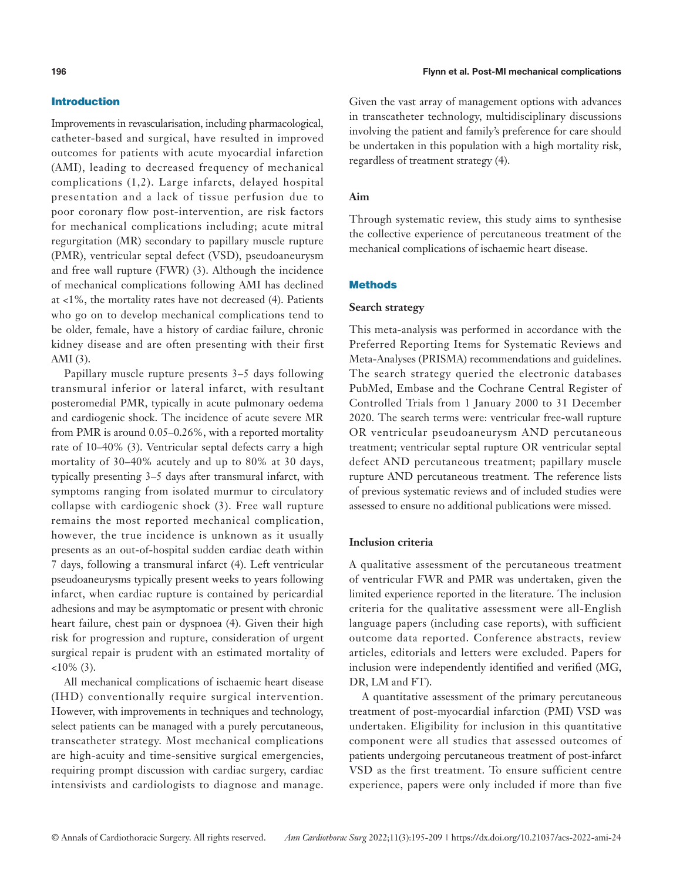# Introduction

Improvements in revascularisation, including pharmacological, catheter-based and surgical, have resulted in improved outcomes for patients with acute myocardial infarction (AMI), leading to decreased frequency of mechanical complications (1,2). Large infarcts, delayed hospital presentation and a lack of tissue perfusion due to poor coronary flow post-intervention, are risk factors for mechanical complications including; acute mitral regurgitation (MR) secondary to papillary muscle rupture (PMR), ventricular septal defect (VSD), pseudoaneurysm and free wall rupture (FWR) (3). Although the incidence of mechanical complications following AMI has declined at <1%, the mortality rates have not decreased (4). Patients who go on to develop mechanical complications tend to be older, female, have a history of cardiac failure, chronic kidney disease and are often presenting with their first AMI (3).

Papillary muscle rupture presents 3–5 days following transmural inferior or lateral infarct, with resultant posteromedial PMR, typically in acute pulmonary oedema and cardiogenic shock. The incidence of acute severe MR from PMR is around 0.05–0.26%, with a reported mortality rate of 10–40% (3). Ventricular septal defects carry a high mortality of 30–40% acutely and up to 80% at 30 days, typically presenting 3–5 days after transmural infarct, with symptoms ranging from isolated murmur to circulatory collapse with cardiogenic shock (3). Free wall rupture remains the most reported mechanical complication, however, the true incidence is unknown as it usually presents as an out-of-hospital sudden cardiac death within 7 days, following a transmural infarct (4). Left ventricular pseudoaneurysms typically present weeks to years following infarct, when cardiac rupture is contained by pericardial adhesions and may be asymptomatic or present with chronic heart failure, chest pain or dyspnoea (4). Given their high risk for progression and rupture, consideration of urgent surgical repair is prudent with an estimated mortality of  $<10\%$  (3).

All mechanical complications of ischaemic heart disease (IHD) conventionally require surgical intervention. However, with improvements in techniques and technology, select patients can be managed with a purely percutaneous, transcatheter strategy. Most mechanical complications are high-acuity and time-sensitive surgical emergencies, requiring prompt discussion with cardiac surgery, cardiac intensivists and cardiologists to diagnose and manage.

Given the vast array of management options with advances in transcatheter technology, multidisciplinary discussions involving the patient and family's preference for care should be undertaken in this population with a high mortality risk, regardless of treatment strategy (4).

# **Aim**

Through systematic review, this study aims to synthesise the collective experience of percutaneous treatment of the mechanical complications of ischaemic heart disease.

## **Methods**

# **Search strategy**

This meta-analysis was performed in accordance with the Preferred Reporting Items for Systematic Reviews and Meta-Analyses (PRISMA) recommendations and guidelines. The search strategy queried the electronic databases PubMed, Embase and the Cochrane Central Register of Controlled Trials from 1 January 2000 to 31 December 2020. The search terms were: ventricular free-wall rupture OR ventricular pseudoaneurysm AND percutaneous treatment; ventricular septal rupture OR ventricular septal defect AND percutaneous treatment; papillary muscle rupture AND percutaneous treatment. The reference lists of previous systematic reviews and of included studies were assessed to ensure no additional publications were missed.

#### **Inclusion criteria**

A qualitative assessment of the percutaneous treatment of ventricular FWR and PMR was undertaken, given the limited experience reported in the literature. The inclusion criteria for the qualitative assessment were all-English language papers (including case reports), with sufficient outcome data reported. Conference abstracts, review articles, editorials and letters were excluded. Papers for inclusion were independently identified and verified (MG, DR, LM and FT).

A quantitative assessment of the primary percutaneous treatment of post-myocardial infarction (PMI) VSD was undertaken. Eligibility for inclusion in this quantitative component were all studies that assessed outcomes of patients undergoing percutaneous treatment of post-infarct VSD as the first treatment. To ensure sufficient centre experience, papers were only included if more than five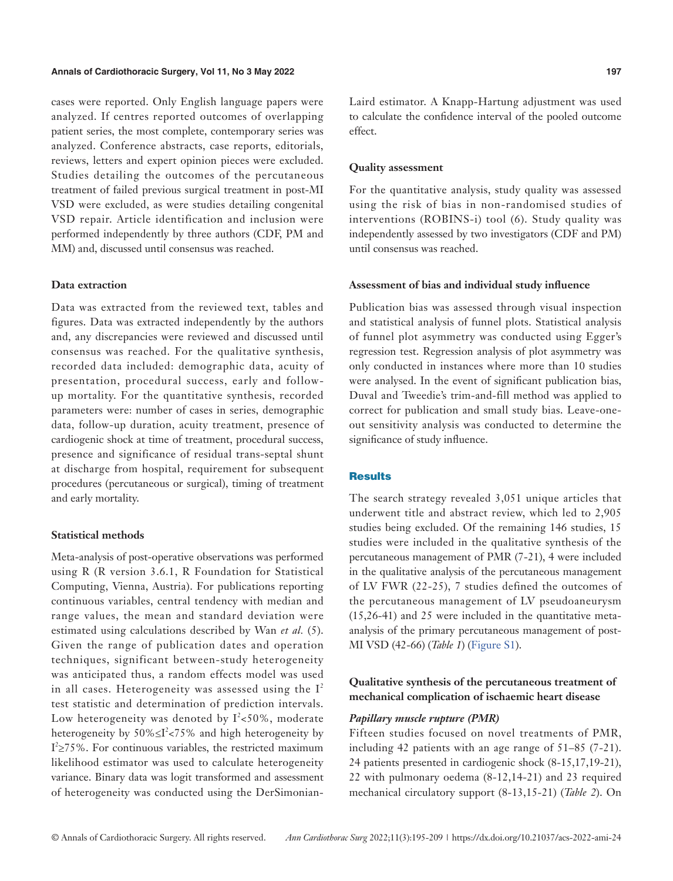cases were reported. Only English language papers were analyzed. If centres reported outcomes of overlapping patient series, the most complete, contemporary series was analyzed. Conference abstracts, case reports, editorials, reviews, letters and expert opinion pieces were excluded. Studies detailing the outcomes of the percutaneous treatment of failed previous surgical treatment in post-MI VSD were excluded, as were studies detailing congenital VSD repair. Article identification and inclusion were performed independently by three authors (CDF, PM and MM) and, discussed until consensus was reached.

## **Data extraction**

Data was extracted from the reviewed text, tables and figures. Data was extracted independently by the authors and, any discrepancies were reviewed and discussed until consensus was reached. For the qualitative synthesis, recorded data included: demographic data, acuity of presentation, procedural success, early and followup mortality. For the quantitative synthesis, recorded parameters were: number of cases in series, demographic data, follow-up duration, acuity treatment, presence of cardiogenic shock at time of treatment, procedural success, presence and significance of residual trans-septal shunt at discharge from hospital, requirement for subsequent procedures (percutaneous or surgical), timing of treatment and early mortality.

# **Statistical methods**

Meta-analysis of post-operative observations was performed using R (R version 3.6.1, R Foundation for Statistical Computing, Vienna, Austria). For publications reporting continuous variables, central tendency with median and range values, the mean and standard deviation were estimated using calculations described by Wan *et al.* (5). Given the range of publication dates and operation techniques, significant between-study heterogeneity was anticipated thus, a random effects model was used in all cases. Heterogeneity was assessed using the  $I^2$ test statistic and determination of prediction intervals. Low heterogeneity was denoted by  $I^2$ <50%, moderate heterogeneity by  $50\% \leq I^2 < 75\%$  and high heterogeneity by  $I^2 \ge 75\%$ . For continuous variables, the restricted maximum likelihood estimator was used to calculate heterogeneity variance. Binary data was logit transformed and assessment of heterogeneity was conducted using the DerSimonianLaird estimator. A Knapp-Hartung adjustment was used to calculate the confidence interval of the pooled outcome effect.

#### **Quality assessment**

For the quantitative analysis, study quality was assessed using the risk of bias in non-randomised studies of interventions (ROBINS-i) tool (6). Study quality was independently assessed by two investigators (CDF and PM) until consensus was reached.

## **Assessment of bias and individual study influence**

Publication bias was assessed through visual inspection and statistical analysis of funnel plots. Statistical analysis of funnel plot asymmetry was conducted using Egger's regression test. Regression analysis of plot asymmetry was only conducted in instances where more than 10 studies were analysed. In the event of significant publication bias, Duval and Tweedie's trim-and-fill method was applied to correct for publication and small study bias. Leave-oneout sensitivity analysis was conducted to determine the significance of study influence.

# **Results**

The search strategy revealed 3,051 unique articles that underwent title and abstract review, which led to 2,905 studies being excluded. Of the remaining 146 studies, 15 studies were included in the qualitative synthesis of the percutaneous management of PMR (7-21), 4 were included in the qualitative analysis of the percutaneous management of LV FWR (22-25), 7 studies defined the outcomes of the percutaneous management of LV pseudoaneurysm (15,26-41) and 25 were included in the quantitative metaanalysis of the primary percutaneous management of post-MI VSD (42-66) (*Table 1*) ([Figure S1](https://cdn.amegroups.cn/static/public/ACS-2022-AMI-24-Supplementary.pdf)).

**Qualitative synthesis of the percutaneous treatment of mechanical complication of ischaemic heart disease**

# *Papillary muscle rupture (PMR)*

Fifteen studies focused on novel treatments of PMR, including 42 patients with an age range of 51–85 (7-21). 24 patients presented in cardiogenic shock (8-15,17,19-21), 22 with pulmonary oedema (8-12,14-21) and 23 required mechanical circulatory support (8-13,15-21) (*Table 2*). On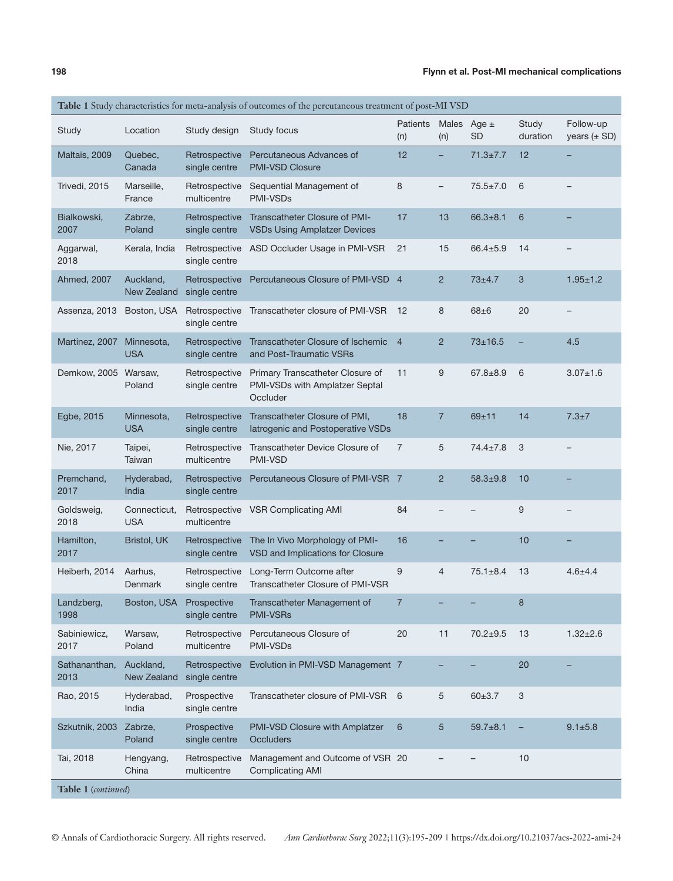|                       | Table 1 Study characteristics for meta-analysis of outcomes of the percutaneous treatment of post-MI VSD |                                |                                                                                |                 |                          |                        |                          |                               |  |
|-----------------------|----------------------------------------------------------------------------------------------------------|--------------------------------|--------------------------------------------------------------------------------|-----------------|--------------------------|------------------------|--------------------------|-------------------------------|--|
| Study                 | Location                                                                                                 | Study design                   | Study focus                                                                    | Patients<br>(n) | <b>Males</b><br>(n)      | Age $\pm$<br><b>SD</b> | <b>Study</b><br>duration | Follow-up<br>years $(\pm SD)$ |  |
| Maltais, 2009         | Quebec,<br>Canada                                                                                        | Retrospective<br>single centre | Percutaneous Advances of<br><b>PMI-VSD Closure</b>                             | 12              | -                        | $71.3 \pm 7.7$         | 12                       |                               |  |
| Trivedi, 2015         | Marseille,<br>France                                                                                     | Retrospective<br>multicentre   | Sequential Management of<br><b>PMI-VSDs</b>                                    | 8               | $\overline{\phantom{a}}$ | $75.5 \pm 7.0$         | 6                        |                               |  |
| Bialkowski,<br>2007   | Zabrze,<br>Poland                                                                                        | Retrospective<br>single centre | Transcatheter Closure of PMI-<br><b>VSDs Using Amplatzer Devices</b>           | 17              | 13                       | $66.3 + 8.1$           | 6                        |                               |  |
| Aggarwal,<br>2018     | Kerala, India                                                                                            | Retrospective<br>single centre | ASD Occluder Usage in PMI-VSR                                                  | 21              | 15                       | $66.4 \pm 5.9$         | 14                       |                               |  |
| Ahmed, 2007           | Auckland,<br>New Zealand                                                                                 | Retrospective<br>single centre | Percutaneous Closure of PMI-VSD 4                                              |                 | $\overline{2}$           | $73 + 4.7$             | 3                        | $1.95 + 1.2$                  |  |
| Assenza, 2013         | Boston, USA                                                                                              | Retrospective<br>single centre | Transcatheter closure of PMI-VSR                                               | 12              | 8                        | $68 + 6$               | 20                       |                               |  |
| Martinez, 2007        | Minnesota,<br><b>USA</b>                                                                                 | Retrospective<br>single centre | Transcatheter Closure of Ischemic<br>and Post-Traumatic VSRs                   | $\overline{4}$  | $\overline{2}$           | $73 + 16.5$            |                          | 4.5                           |  |
| Demkow, 2005          | Warsaw,<br>Poland                                                                                        | Retrospective<br>single centre | Primary Transcatheter Closure of<br>PMI-VSDs with Amplatzer Septal<br>Occluder | 11              | 9                        | $67.8 + 8.9$           | 6                        | $3.07 + 1.6$                  |  |
| Egbe, 2015            | Minnesota,<br><b>USA</b>                                                                                 | Retrospective<br>single centre | Transcatheter Closure of PMI,<br>latrogenic and Postoperative VSDs             | 18              | $\overline{7}$           | $69 + 11$              | 14                       | $7.3 + 7$                     |  |
| Nie, 2017             | Taipei,<br>Taiwan                                                                                        | Retrospective<br>multicentre   | Transcatheter Device Closure of<br><b>PMI-VSD</b>                              | $\overline{7}$  | 5                        | $74.4 \pm 7.8$         | 3                        |                               |  |
| Premchand,<br>2017    | Hyderabad,<br>India                                                                                      | Retrospective<br>single centre | Percutaneous Closure of PMI-VSR 7                                              |                 | $\overline{2}$           | $58.3 + 9.8$           | 10                       |                               |  |
| Goldsweig,<br>2018    | Connecticut,<br><b>USA</b>                                                                               | Retrospective<br>multicentre   | <b>VSR Complicating AMI</b>                                                    | 84              |                          |                        | 9                        |                               |  |
| Hamilton,<br>2017     | Bristol, UK                                                                                              | Retrospective<br>single centre | The In Vivo Morphology of PMI-<br>VSD and Implications for Closure             | 16              |                          |                        | 10                       |                               |  |
| Heiberh, 2014         | Aarhus,<br><b>Denmark</b>                                                                                | Retrospective<br>single centre | Long-Term Outcome after<br><b>Transcatheter Closure of PMI-VSR</b>             | 9               | 4                        | $75.1 \pm 8.4$         | 13                       | $4.6 + 4.4$                   |  |
| Landzberg,<br>1998    | Boston, USA                                                                                              | Prospective<br>single centre   | Transcatheter Management of<br><b>PMI-VSRs</b>                                 | $\overline{7}$  |                          |                        | 8                        |                               |  |
| Sabiniewicz,<br>2017  | Warsaw,<br>Poland                                                                                        | Retrospective<br>multicentre   | Percutaneous Closure of<br><b>PMI-VSDs</b>                                     | 20              | 11                       | $70.2 + 9.5$           | 13                       | $1.32 \pm 2.6$                |  |
| Sathananthan,<br>2013 | Auckland,<br>New Zealand                                                                                 | Retrospective<br>single centre | Evolution in PMI-VSD Management 7                                              |                 |                          |                        | 20                       |                               |  |
| Rao, 2015             | Hyderabad,<br>India                                                                                      | Prospective<br>single centre   | Transcatheter closure of PMI-VSR                                               | - 6             | 5                        | $60 \pm 3.7$           | 3                        |                               |  |
| Szkutnik, 2003        | Zabrze,<br>Poland                                                                                        | Prospective<br>single centre   | PMI-VSD Closure with Amplatzer<br><b>Occluders</b>                             | 6               | 5                        | $59.7 + 8.1$           |                          | $9.1 + 5.8$                   |  |
| Tai, 2018             | Hengyang,<br>China                                                                                       | Retrospective<br>multicentre   | Management and Outcome of VSR 20<br><b>Complicating AMI</b>                    |                 |                          |                        | 10                       |                               |  |
| Table 1 (continued)   |                                                                                                          |                                |                                                                                |                 |                          |                        |                          |                               |  |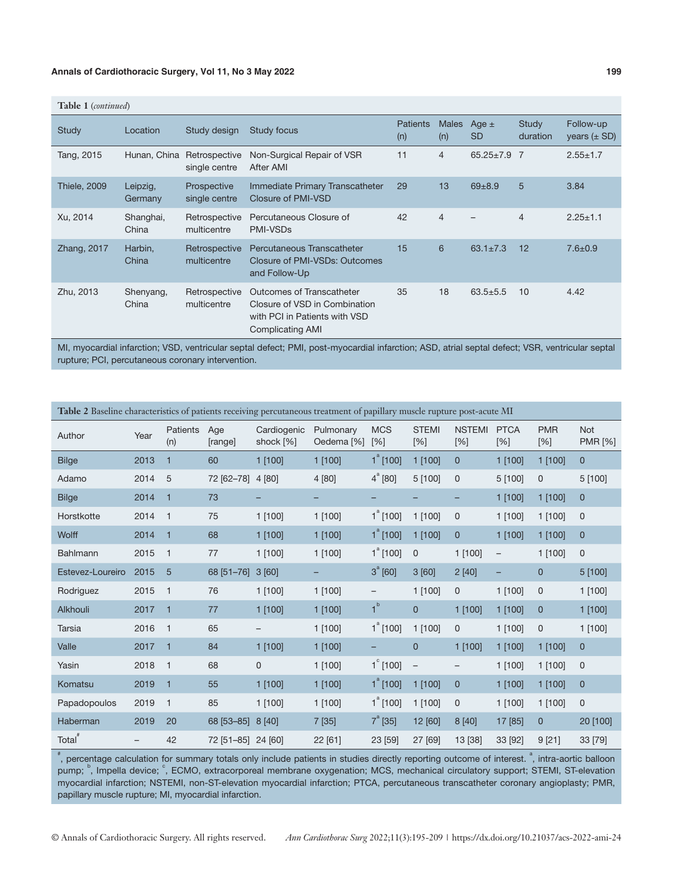| <b>Table 1</b> (continued) |                     |                                |                                                                                                                               |                        |                     |                        |                          |                               |
|----------------------------|---------------------|--------------------------------|-------------------------------------------------------------------------------------------------------------------------------|------------------------|---------------------|------------------------|--------------------------|-------------------------------|
| <b>Study</b>               | Location            | Study design                   | <b>Study focus</b>                                                                                                            | <b>Patients</b><br>(n) | <b>Males</b><br>(n) | Age $\pm$<br><b>SD</b> | <b>Study</b><br>duration | Follow-up<br>years $(\pm SD)$ |
| Tang, 2015                 | Hunan, China        | Retrospective<br>single centre | Non-Surgical Repair of VSR<br>After AMI                                                                                       | 11                     | 4                   | $65.25 \pm 7.9$        | - 7                      | $2.55 \pm 1.7$                |
| <b>Thiele, 2009</b>        | Leipzig,<br>Germany | Prospective<br>single centre   | Immediate Primary Transcatheter<br>Closure of PMI-VSD                                                                         | 29                     | 13                  | $69 + 8.9$             | 5                        | 3.84                          |
| Xu, 2014                   | Shanghai,<br>China  | Retrospective<br>multicentre   | Percutaneous Closure of<br><b>PMI-VSDs</b>                                                                                    | 42                     | $\overline{4}$      |                        | $\overline{4}$           | $2.25 \pm 1.1$                |
| Zhang, 2017                | Harbin,<br>China    | Retrospective<br>multicentre   | Percutaneous Transcatheter<br>Closure of PMI-VSDs: Outcomes<br>and Follow-Up                                                  | 15                     | 6                   | $63.1 \pm 7.3$         | 12                       | $7.6 + 0.9$                   |
| Zhu, 2013                  | Shenyang,<br>China  | Retrospective<br>multicentre   | <b>Outcomes of Transcatheter</b><br>Closure of VSD in Combination<br>with PCI in Patients with VSD<br><b>Complicating AMI</b> | 35                     | 18                  | $63.5 + 5.5$           | 10                       | 4.42                          |
|                            |                     |                                |                                                                                                                               |                        |                     |                        |                          |                               |

MI, myocardial infarction; VSD, ventricular septal defect; PMI, post-myocardial infarction; ASD, atrial septal defect; VSR, ventricular septal rupture; PCI, percutaneous coronary intervention.

| Table 2 Baseline characteristics of patients receiving percutaneous treatment of papillary muscle rupture post-acute MI |      |                 |                    |                          |                         |                     |                     |                      |                    |                   |                              |
|-------------------------------------------------------------------------------------------------------------------------|------|-----------------|--------------------|--------------------------|-------------------------|---------------------|---------------------|----------------------|--------------------|-------------------|------------------------------|
| Author                                                                                                                  | Year | Patients<br>(n) | Age<br>[range]     | Cardiogenic<br>shock [%] | Pulmonary<br>Oedema [%] | <b>MCS</b><br>[%]   | <b>STEMI</b><br>[%] | <b>NSTEMI</b><br>[%] | <b>PTCA</b><br>[%] | <b>PMR</b><br>[%] | <b>Not</b><br><b>PMR [%]</b> |
| <b>Bilge</b>                                                                                                            | 2013 | $\mathbf{1}$    | 60                 | $1$ [100]                | $1$ [100]               | $1^{\degree}$ [100] | $1$ [100]           | $\mathbf{0}$         | 1 [100]            | $1$ [100]         | $\overline{0}$               |
| Adamo                                                                                                                   | 2014 | 5               | 72 [62-78]         | 4 [80]                   | 4 [80]                  | $4^{\degree}$ [80]  | 5 [100]             | $\mathbf 0$          | 5 [100]            | $\mathbf 0$       | 5 [100]                      |
| <b>Bilge</b>                                                                                                            | 2014 | 1               | 73                 | -                        | -                       | -                   |                     | -                    | $1$ [100]          | 1 [100]           | $\mathbf{0}$                 |
| Horstkotte                                                                                                              | 2014 | 1               | 75                 | $1$ [100]                | $1$ [100]               | $1^{\degree}$ [100] | 1 [100]             | $\mathbf 0$          | 1 [100]            | 1 [100]           | 0                            |
| Wolff                                                                                                                   | 2014 | 1               | 68                 | 1 [100]                  | $1$ [100]               | $1^{\degree}$ [100] | 1 [100]             | $\mathbf{0}$         | 1 [100]            | $1$ [100]         | $\mathbf 0$                  |
| <b>Bahlmann</b>                                                                                                         | 2015 | $\mathbf{1}$    | 77                 | $1$ [100]                | $1$ [100]               | $1^{\degree}$ [100] | $\mathbf 0$         | $1$ [100]            | $\qquad \qquad -$  | 1 [100]           | $\mathbf 0$                  |
| Estevez-Loureiro                                                                                                        | 2015 | 5               | 68 [51-76]         | 3[60]                    |                         | $3^{a}$ [60]        | 3[60]               | 2[40]                | -                  | $\mathbf{0}$      | 5[100]                       |
| Rodriguez                                                                                                               | 2015 | 1               | 76                 | 1 [100]                  | 1 [100]                 | -                   | 1 [100]             | $\mathbf 0$          | 1 [100]            | $\mathbf 0$       | 1 [100]                      |
| Alkhouli                                                                                                                | 2017 | $\mathbf{1}$    | 77                 | 1 [100]                  | 1 [100]                 | 1 <sup>b</sup>      | $\mathbf{0}$        | $1$ [100]            | 1 [100]            | $\overline{0}$    | 1 [100]                      |
| <b>Tarsia</b>                                                                                                           | 2016 | $\mathbf{1}$    | 65                 |                          | 1 [100]                 | $1^{\degree}$ [100] | 1 [100]             | $\mathbf{0}$         | $1$ [100]          | $\mathsf 0$       | 1 [100]                      |
| Valle                                                                                                                   | 2017 | 1               | 84                 | 1[100]                   | $1$ [100]               |                     | $\mathbf{0}$        | 1 [100]              | 1 [100]            | 1 [100]           | $\mathbf 0$                  |
| Yasin                                                                                                                   | 2018 | 1               | 68                 | 0                        | 1 [100]                 | $1^{\circ}$ [100]   | $\qquad \qquad -$   |                      | 1 [100]            | 1 [100]           | $\mathbf 0$                  |
| Komatsu                                                                                                                 | 2019 | 1               | 55                 | 1 [100]                  | 1 [100]                 | $1^a$ [100]         | 1 [100]             | $\mathbf{0}$         | 1 [100]            | 1 [100]           | $\mathbf{0}$                 |
| Papadopoulos                                                                                                            | 2019 | 1               | 85                 | 1 [100]                  | 1 [100]                 | $1^{\degree}$ [100] | 1 [100]             | $\mathbf 0$          | 1 [100]            | 1 [100]           | $\mathbf 0$                  |
| Haberman                                                                                                                | 2019 | 20              | 68 [53-85]         | 8[40]                    | 7[35]                   | $7^{a}$ [35]        | 12 [60]             | 8[40]                | 17 [85]            | $\mathbf{0}$      | 20 [100]                     |
| Total"                                                                                                                  |      | 42              | 72 [51-85] 24 [60] |                          | 22 [61]                 | 23 [59]             | 27 [69]             | 13 [38]              | 33 [92]            | 9[21]             | 33 [79]                      |

\*, percentage calculation for summary totals only include patients in studies directly reporting outcome of interest. <sup>a</sup>, intra-aortic balloon pump; <sup>b</sup>, Impella device; <sup>c</sup>, ECMO, extracorporeal membrane oxygenation; MCS, mechanical circulatory support; STEMI, ST-elevation myocardial infarction; NSTEMI, non-ST-elevation myocardial infarction; PTCA, percutaneous transcatheter coronary angioplasty; PMR, papillary muscle rupture; MI, myocardial infarction.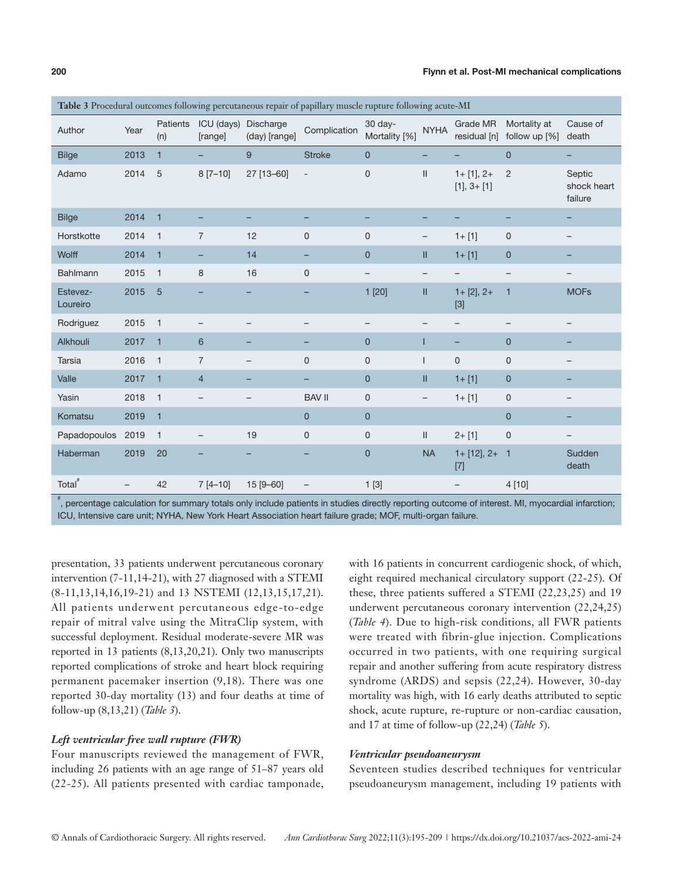| Table 3 Procedural outcomes following percutaneous repair of papillary muscle rupture following acute-MI |                          |                 |                          |                            |                          |                          |                                                                           |                                  |                                 |                                  |
|----------------------------------------------------------------------------------------------------------|--------------------------|-----------------|--------------------------|----------------------------|--------------------------|--------------------------|---------------------------------------------------------------------------|----------------------------------|---------------------------------|----------------------------------|
| Author                                                                                                   | Year                     | Patients<br>(n) | ICU (days)<br>[range]    | Discharge<br>(day) [range] | Complication             | 30 day-<br>Mortality [%] | <b>NYHA</b>                                                               | Grade MR<br>residual [n]         | Mortality at<br>follow up $[%]$ | Cause of<br>death                |
| <b>Bilge</b>                                                                                             | 2013                     | $\mathbf{1}$    |                          | 9                          | <b>Stroke</b>            | $\overline{0}$           | -                                                                         |                                  | $\mathbf{0}$                    | Ξ.                               |
| Adamo                                                                                                    | 2014                     | 5               | $8[7-10]$                | 27 [13-60]                 | $\overline{\phantom{a}}$ | $\mathbf 0$              | $\label{eq:1} \prod_{i=1}^n \left\{ \prod_{i=1}^n \frac{1}{n_i} \right\}$ | $1 + [1], 2 +$<br>$[1], 3 + [1]$ | 2                               | Septic<br>shock heart<br>failure |
| <b>Bilge</b>                                                                                             | 2014                     | $\overline{1}$  |                          |                            |                          |                          |                                                                           |                                  | -                               | -                                |
| Horstkotte                                                                                               | 2014                     | $\overline{1}$  | $\overline{7}$           | 12                         | $\mathbf 0$              | 0                        | -                                                                         | $1 + [1]$                        | $\mathbf 0$                     | -                                |
| Wolff                                                                                                    | 2014                     | $\mathbf{1}$    | $\qquad \qquad -$        | 14                         | -                        | $\mathbf{0}$             | Ш                                                                         | $1 + [1]$                        | $\mathbf{0}$                    |                                  |
| Bahlmann                                                                                                 | 2015                     | $\overline{1}$  | 8                        | 16                         | $\mathsf 0$              | $\overline{\phantom{m}}$ | $\qquad \qquad -$                                                         | -                                | $\overline{\phantom{m}}$        |                                  |
| Estevez-<br>Loureiro                                                                                     | 2015                     | 5               |                          |                            | -                        | 1 [20]                   | $\mathbf{II}$                                                             | $1+[2], 2+$<br>$[3]$             | $\mathbf{1}$                    | <b>MOFs</b>                      |
| Rodriguez                                                                                                | 2015                     | $\mathbf{1}$    |                          |                            | $\qquad \qquad -$        | $\qquad \qquad -$        | $\qquad \qquad -$                                                         |                                  |                                 |                                  |
| Alkhouli                                                                                                 | 2017                     | $\overline{1}$  | 6                        |                            | -                        | $\mathbf 0$              | ı                                                                         | -                                | $\mathbf{0}$                    |                                  |
| <b>Tarsia</b>                                                                                            | 2016                     | $\overline{1}$  | $\overline{7}$           |                            | $\mathbf{0}$             | $\mathbf 0$              |                                                                           | $\mathbf 0$                      | $\mathsf 0$                     | -                                |
| Valle                                                                                                    | 2017                     | $\overline{1}$  | $\overline{4}$           |                            |                          | $\mathbf 0$              | Ш                                                                         | $1 + [1]$                        | $\mathbf{0}$                    |                                  |
| Yasin                                                                                                    | 2018                     | $\overline{1}$  |                          |                            | <b>BAV II</b>            | $\mathbf 0$              | $\overline{\phantom{a}}$                                                  | $1 + [1]$                        | $\mathsf 0$                     |                                  |
| Komatsu                                                                                                  | 2019                     | $\overline{1}$  |                          |                            | $\overline{0}$           | $\overline{0}$           |                                                                           |                                  | $\mathbf{0}$                    |                                  |
| Papadopoulos                                                                                             | 2019                     | $\overline{1}$  | $\overline{\phantom{0}}$ | 19                         | $\mathbf 0$              | 0                        | $\mathbf{II}$                                                             | $2 + [1]$                        | $\mathsf 0$                     | -                                |
| Haberman                                                                                                 | 2019                     | 20              |                          |                            |                          | $\mathbf 0$              | <b>NA</b>                                                                 | $1 + [12], 2 + 1$<br>$[7]$       |                                 | Sudden<br>death                  |
| Total <sup>#</sup>                                                                                       | $\overline{\phantom{0}}$ | 42              | $7[4 - 10]$              | 15 [9-60]                  | $-$                      | 1[3]                     |                                                                           | $\overline{\phantom{m}}$         | 4 [10]                          |                                  |

# , percentage calculation for summary totals only include patients in studies directly reporting outcome of interest. MI, myocardial infarction; ICU, Intensive care unit; NYHA, New York Heart Association heart failure grade; MOF, multi-organ failure.

presentation, 33 patients underwent percutaneous coronary intervention (7-11,14-21), with 27 diagnosed with a STEMI (8-11,13,14,16,19-21) and 13 NSTEMI (12,13,15,17,21). All patients underwent percutaneous edge-to-edge repair of mitral valve using the MitraClip system, with successful deployment. Residual moderate-severe MR was reported in 13 patients (8,13,20,21). Only two manuscripts reported complications of stroke and heart block requiring permanent pacemaker insertion (9,18). There was one reported 30-day mortality (13) and four deaths at time of follow-up (8,13,21) (*Table 3*).

# *Left ventricular free wall rupture (FWR)*

Four manuscripts reviewed the management of FWR, including 26 patients with an age range of 51–87 years old (22-25). All patients presented with cardiac tamponade,

with 16 patients in concurrent cardiogenic shock, of which, eight required mechanical circulatory support (22-25). Of these, three patients suffered a STEMI (22,23,25) and 19 underwent percutaneous coronary intervention (22,24,25) (*Table 4*). Due to high-risk conditions, all FWR patients were treated with fibrin-glue injection. Complications occurred in two patients, with one requiring surgical repair and another suffering from acute respiratory distress syndrome (ARDS) and sepsis (22,24). However, 30-day mortality was high, with 16 early deaths attributed to septic shock, acute rupture, re-rupture or non-cardiac causation, and 17 at time of follow-up (22,24) (*Table 5*).

# *Ventricular pseudoaneurysm*

Seventeen studies described techniques for ventricular pseudoaneurysm management, including 19 patients with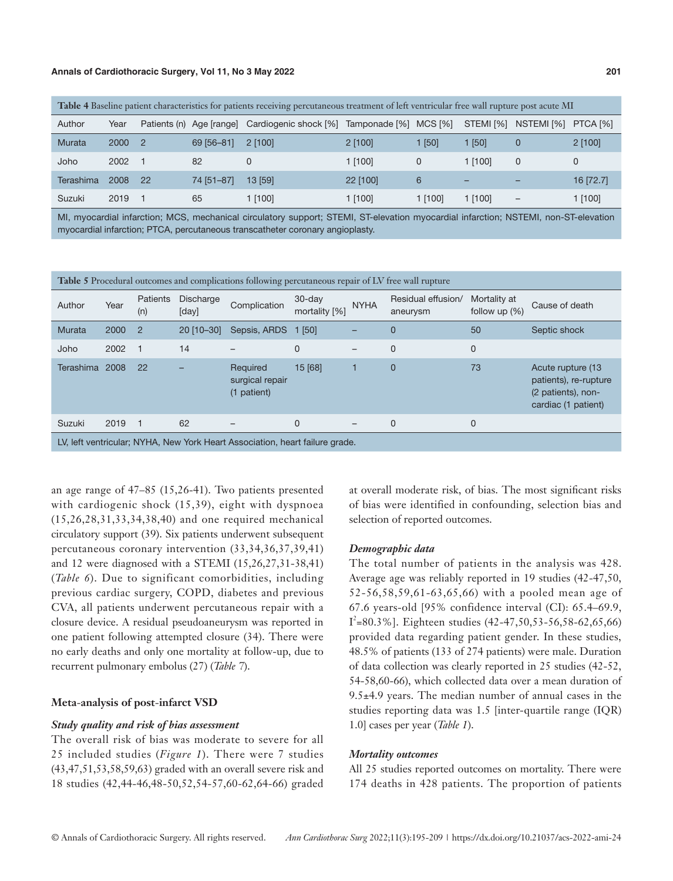| Table 4 Baseline patient characteristics for patients receiving percutaneous treatment of left ventricular free wall rupture post acute MI |      |            |                          |                       |                       |             |           |                 |           |
|--------------------------------------------------------------------------------------------------------------------------------------------|------|------------|--------------------------|-----------------------|-----------------------|-------------|-----------|-----------------|-----------|
| Author                                                                                                                                     | Year |            | Patients (n) Age [range] | Cardiogenic shock [%] | Tamponade [%] MCS [%] |             | STEMI [%] | NSTEMI [%]      | PTCA [%]  |
| Murata                                                                                                                                     | 2000 | $\sqrt{2}$ | 69 [56-81]               | $2$ [100]             | $2$ [100]             | [50]        | $1$ [50]  | 0               | $2$ [100] |
| Joho                                                                                                                                       | 2002 |            | 82                       |                       | 1 [100]               | $\mathbf 0$ | 1 [100]   | $\mathbf{0}$    |           |
| Terashima                                                                                                                                  | 2008 | 22         | 74 [51-87]               | $13$ [59]             | 22 [100]              | 6           | -         | -               | 16 [72.7] |
| Suzuki                                                                                                                                     | 2019 |            | 65                       | 1 [100]               | 1 [100]               | 1 [100]     | 1 [100]   | $\qquad \qquad$ | 1 [100]   |

MI, myocardial infarction; MCS, mechanical circulatory support; STEMI, ST-elevation myocardial infarction; NSTEMI, non-ST-elevation myocardial infarction; PTCA, percutaneous transcatheter coronary angioplasty.

| <b>Table 5</b> Procedural outcomes and complications following percutaneous repair of LV free wall rupture |      |                        |                           |                                                                              |                            |             |                                |                                  |                                                                                         |  |  |
|------------------------------------------------------------------------------------------------------------|------|------------------------|---------------------------|------------------------------------------------------------------------------|----------------------------|-------------|--------------------------------|----------------------------------|-----------------------------------------------------------------------------------------|--|--|
| Author                                                                                                     | Year | <b>Patients</b><br>(n) | <b>Discharge</b><br>[day] | Complication                                                                 | $30$ -day<br>mortality [%] | <b>NYHA</b> | Residual effusion/<br>aneurysm | Mortality at<br>follow up $(\%)$ | Cause of death                                                                          |  |  |
| Murata                                                                                                     | 2000 | $\overline{2}$         | 20 [10-30]                | Sepsis, ARDS                                                                 | $1$ [50]                   |             | 0                              | 50                               | Septic shock                                                                            |  |  |
| Joho                                                                                                       | 2002 |                        | 14                        |                                                                              | $\mathbf{0}$               |             | $\Omega$                       | $\mathbf{0}$                     |                                                                                         |  |  |
| <b>Terashima</b>                                                                                           | 2008 | 22                     |                           | Required<br>surgical repair<br>(1 patient)                                   | 15 [68]                    |             | $\mathbf 0$                    | 73                               | Acute rupture (13<br>patients), re-rupture<br>(2 patients), non-<br>cardiac (1 patient) |  |  |
| Suzuki                                                                                                     | 2019 |                        | 62                        |                                                                              | 0                          |             | $\mathbf 0$                    | $\mathbf{0}$                     |                                                                                         |  |  |
|                                                                                                            |      |                        |                           | LV, left ventricular; NYHA, New York Heart Association, heart failure grade. |                            |             |                                |                                  |                                                                                         |  |  |

an age range of 47–85 (15,26-41). Two patients presented with cardiogenic shock (15,39), eight with dyspnoea (15,26,28,31,33,34,38,40) and one required mechanical circulatory support (39). Six patients underwent subsequent percutaneous coronary intervention (33,34,36,37,39,41) and 12 were diagnosed with a STEMI (15,26,27,31-38,41) (*Table 6*). Due to significant comorbidities, including previous cardiac surgery, COPD, diabetes and previous CVA, all patients underwent percutaneous repair with a closure device. A residual pseudoaneurysm was reported in one patient following attempted closure (34). There were no early deaths and only one mortality at follow-up, due to recurrent pulmonary embolus (27) (*Table 7*).

#### **Meta**-**analysis of post**-**infarct VSD**

#### *Study quality and risk of bias assessment*

The overall risk of bias was moderate to severe for all 25 included studies (*Figure 1*). There were 7 studies (43,47,51,53,58,59,63) graded with an overall severe risk and 18 studies (42,44-46,48-50,52,54-57,60-62,64-66) graded at overall moderate risk, of bias. The most significant risks of bias were identified in confounding, selection bias and selection of reported outcomes.

#### *Demographic data*

The total number of patients in the analysis was 428. Average age was reliably reported in 19 studies (42-47,50, 52-56,58,59,61-63,65,66) with a pooled mean age of 67.6 years-old [95% confidence interval (CI): 65.4–69.9,  $I^2$ =80.3%]. Eighteen studies (42-47,50,53-56,58-62,65,66) provided data regarding patient gender. In these studies, 48.5% of patients (133 of 274 patients) were male. Duration of data collection was clearly reported in 25 studies (42-52, 54-58,60-66), which collected data over a mean duration of 9.5±4.9 years. The median number of annual cases in the studies reporting data was 1.5 [inter-quartile range (IQR) 1.0] cases per year (*Table 1*).

#### *Mortality outcomes*

All 25 studies reported outcomes on mortality. There were 174 deaths in 428 patients. The proportion of patients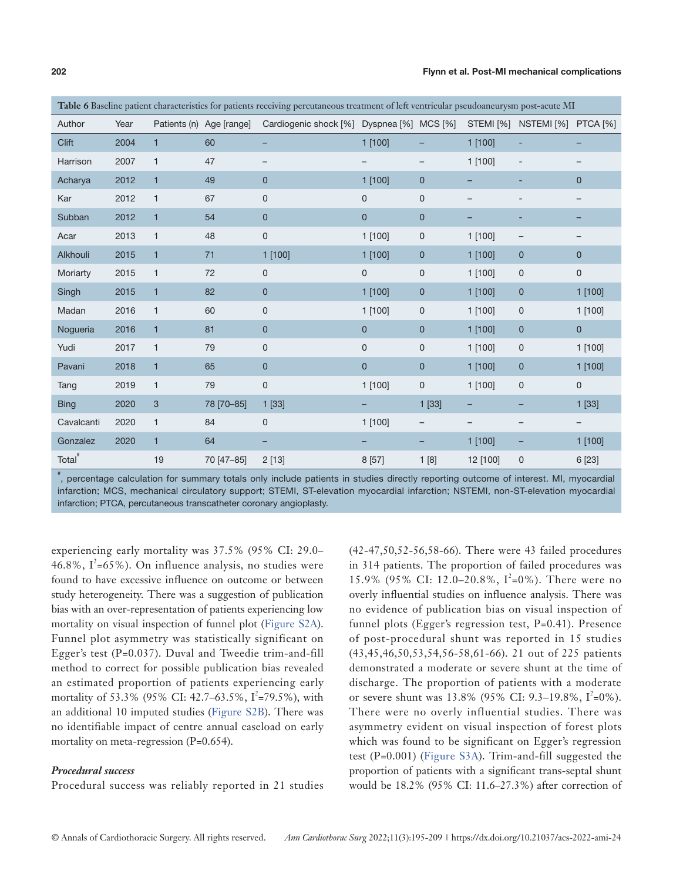|                    |      |              |                          | Table 6 Baseline patient characteristics for patients receiving percutaneous treatment of left ventricular pseudoaneurysm post-acute MI |                |              |           |                               |                   |
|--------------------|------|--------------|--------------------------|-----------------------------------------------------------------------------------------------------------------------------------------|----------------|--------------|-----------|-------------------------------|-------------------|
| Author             | Year |              | Patients (n) Age [range] | Cardiogenic shock [%] Dyspnea [%] MCS [%]                                                                                               |                |              |           | STEMI [%] NSTEMI [%] PTCA [%] |                   |
| Clift              | 2004 | $\mathbf{1}$ | 60                       |                                                                                                                                         | 1 [100]        |              | 1 [100]   |                               | -                 |
| Harrison           | 2007 | $\mathbf{1}$ | 47                       |                                                                                                                                         |                |              | 1 [100]   |                               |                   |
| Acharya            | 2012 | $\mathbf{1}$ | 49                       | $\mathbf{0}$                                                                                                                            | $1$ [100]      | $\mathbf 0$  |           |                               | $\mathbf 0$       |
| Kar                | 2012 | $\mathbf{1}$ | 67                       | $\mathsf{O}\xspace$                                                                                                                     | 0              | $\mathsf 0$  |           |                               | -                 |
| Subban             | 2012 | $\mathbf{1}$ | 54                       | $\mathbf 0$                                                                                                                             | $\mathbf 0$    | $\mathbf 0$  |           |                               |                   |
| Acar               | 2013 | $\mathbf{1}$ | 48                       | $\mathsf{O}\xspace$                                                                                                                     | 1 [100]        | 0            | 1 [100]   | -                             |                   |
| Alkhouli           | 2015 | $\mathbf{1}$ | 71                       | 1 [100]                                                                                                                                 | $1$ [100]      | $\mathbf 0$  | 1 [100]   | 0                             | $\mathbf{0}$      |
| Moriarty           | 2015 | $\mathbf{1}$ | 72                       | 0                                                                                                                                       | 0              | $\mathsf 0$  | 1 [100]   | 0                             | 0                 |
| Singh              | 2015 | $\mathbf{1}$ | 82                       | $\mathbf 0$                                                                                                                             | $1$ [100]      | $\mathbf 0$  | $1$ [100] | 0                             | 1 [100]           |
| Madan              | 2016 | $\mathbf{1}$ | 60                       | $\mathsf{O}$                                                                                                                            | $1$ [100]      | $\mathsf 0$  | $1$ [100] | 0                             | 1 [100]           |
| Nogueria           | 2016 | $\mathbf{1}$ | 81                       | $\mathbf 0$                                                                                                                             | $\overline{0}$ | $\mathbf{0}$ | $1$ [100] | 0                             | $\mathbf{0}$      |
| Yudi               | 2017 | $\mathbf{1}$ | 79                       | 0                                                                                                                                       | 0              | $\mathsf 0$  | $1$ [100] | 0                             | 1 [100]           |
| Pavani             | 2018 | $\mathbf{1}$ | 65                       | $\mathbf{0}$                                                                                                                            | $\overline{0}$ | $\mathbf 0$  | $1$ [100] | 0                             | $1$ [100]         |
| Tang               | 2019 | $\mathbf{1}$ | 79                       | $\mathsf 0$                                                                                                                             | 1 [100]        | $\mathsf 0$  | 1 [100]   | 0                             | $\mathsf 0$       |
| <b>Bing</b>        | 2020 | 3            | 78 [70-85]               | 1[33]                                                                                                                                   |                | 1 [33]       |           |                               | 1 [33]            |
| Cavalcanti         | 2020 | $\mathbf{1}$ | 84                       | 0                                                                                                                                       | 1 [100]        |              |           |                               | $\qquad \qquad -$ |
| Gonzalez           | 2020 | $\mathbf{1}$ | 64                       | -                                                                                                                                       |                |              | 1 [100]   |                               | 1 [100]           |
| Total <sup>#</sup> |      | 19           | 70 [47-85]               | 2[13]                                                                                                                                   | 8 [57]         | 1[8]         | 12 [100]  | $\mathsf 0$                   | 6 [23]            |

# , percentage calculation for summary totals only include patients in studies directly reporting outcome of interest. MI, myocardial infarction; MCS, mechanical circulatory support; STEMI, ST-elevation myocardial infarction; NSTEMI, non-ST-elevation myocardial infarction; PTCA, percutaneous transcatheter coronary angioplasty.

experiencing early mortality was 37.5% (95% CI: 29.0– 46.8%,  $I^2$ =65%). On influence analysis, no studies were found to have excessive influence on outcome or between study heterogeneity. There was a suggestion of publication bias with an over-representation of patients experiencing low mortality on visual inspection of funnel plot [\(Figure S2A\)](https://cdn.amegroups.cn/static/public/ACS-2022-AMI-24-Supplementary.pdf). Funnel plot asymmetry was statistically significant on Egger's test (P=0.037). Duval and Tweedie trim-and-fill method to correct for possible publication bias revealed an estimated proportion of patients experiencing early mortality of 53.3% (95% CI: 42.7–63.5%,  $I^2$ =79.5%), with an additional 10 imputed studies [\(Figure S2B](https://cdn.amegroups.cn/static/public/ACS-2022-AMI-24-Supplementary.pdf)). There was no identifiable impact of centre annual caseload on early mortality on meta-regression (P=0.654).

# *Procedural success*

Procedural success was reliably reported in 21 studies

(42-47,50,52-56,58-66). There were 43 failed procedures in 314 patients. The proportion of failed procedures was 15.9% (95% CI: 12.0–20.8%,  $I^2=0\%$ ). There were no overly influential studies on influence analysis. There was no evidence of publication bias on visual inspection of funnel plots (Egger's regression test, P=0.41). Presence of post-procedural shunt was reported in 15 studies (43,45,46,50,53,54,56-58,61-66). 21 out of 225 patients demonstrated a moderate or severe shunt at the time of discharge. The proportion of patients with a moderate or severe shunt was  $13.8\%$  (95% CI: 9.3–19.8%,  $I^2=0\%$ ). There were no overly influential studies. There was asymmetry evident on visual inspection of forest plots which was found to be significant on Egger's regression test (P=0.001) ([Figure S3A\)](https://cdn.amegroups.cn/static/public/ACS-2022-AMI-24-Supplementary.pdf). Trim-and-fill suggested the proportion of patients with a significant trans-septal shunt would be 18.2% (95% CI: 11.6–27.3%) after correction of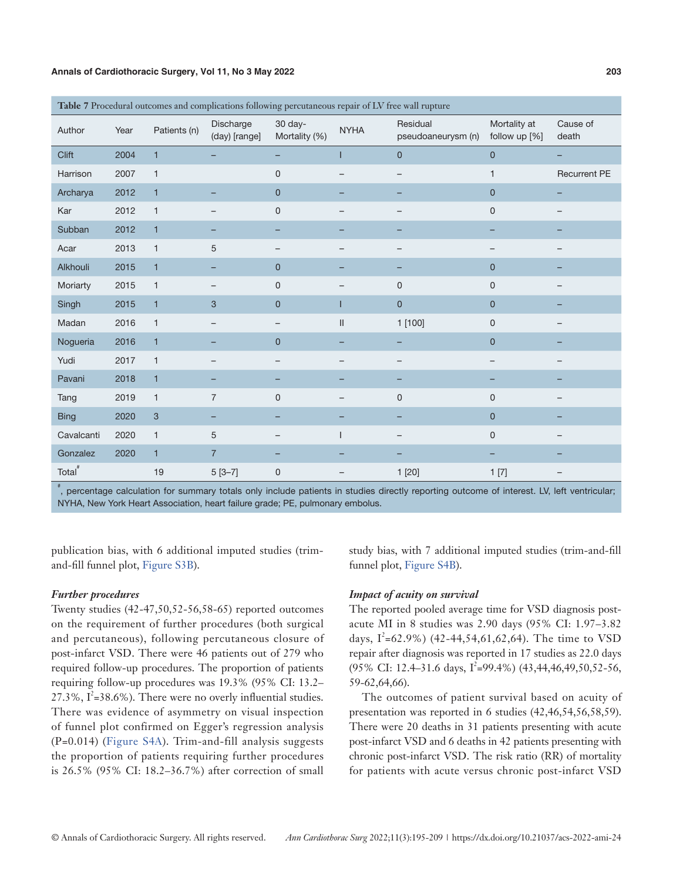|                    | Table 7 Procedural outcomes and complications following percutaneous repair of LV free wall rupture |                           |                            |                          |                            |                                |                               |                     |  |  |  |
|--------------------|-----------------------------------------------------------------------------------------------------|---------------------------|----------------------------|--------------------------|----------------------------|--------------------------------|-------------------------------|---------------------|--|--|--|
| Author             | Year                                                                                                | Patients (n)              | Discharge<br>(day) [range] | 30 day-<br>Mortality (%) | <b>NYHA</b>                | Residual<br>pseudoaneurysm (n) | Mortality at<br>follow up [%] | Cause of<br>death   |  |  |  |
| Clift              | 2004                                                                                                | $\mathbf{1}$              |                            |                          | I                          | $\overline{0}$                 | $\mathbf 0$                   | -                   |  |  |  |
| Harrison           | 2007                                                                                                | $\mathbf{1}$              |                            | $\mathsf 0$              |                            |                                | $\mathbf{1}$                  | <b>Recurrent PE</b> |  |  |  |
| Archarya           | 2012                                                                                                | $\mathbf{1}$              |                            | $\pmb{0}$                |                            |                                | $\mathbf 0$                   |                     |  |  |  |
| Kar                | 2012                                                                                                | $\mathbf{1}$              |                            | $\mathsf 0$              |                            | $\qquad \qquad -$              | $\mathsf 0$                   |                     |  |  |  |
| Subban             | 2012                                                                                                | $\mathbf{1}$              |                            |                          |                            |                                |                               |                     |  |  |  |
| Acar               | 2013                                                                                                | $\mathbf{1}$              | 5                          |                          |                            |                                |                               |                     |  |  |  |
| Alkhouli           | 2015                                                                                                | $\mathbf{1}$              | -                          | $\mathbf 0$              |                            |                                | $\mathbf{0}$                  |                     |  |  |  |
| Moriarty           | 2015                                                                                                | $\mathbf{1}$              |                            | $\mathbf 0$              |                            | $\mathbf 0$                    | $\mathsf 0$                   |                     |  |  |  |
| Singh              | 2015                                                                                                | $\mathbf{1}$              | 3                          | $\mathbf 0$              |                            | $\overline{0}$                 | $\mathbf 0$                   |                     |  |  |  |
| Madan              | 2016                                                                                                | $\mathbf{1}$              |                            |                          | $\ensuremath{\mathsf{II}}$ | 1 [100]                        | $\mathsf 0$                   |                     |  |  |  |
| Nogueria           | 2016                                                                                                | $\mathbf{1}$              |                            | $\overline{0}$           |                            |                                | $\mathbf 0$                   |                     |  |  |  |
| Yudi               | 2017                                                                                                | $\mathbf{1}$              |                            |                          |                            |                                |                               |                     |  |  |  |
| Pavani             | 2018                                                                                                | $\overline{1}$            | ۰                          |                          |                            |                                |                               |                     |  |  |  |
| Tang               | 2019                                                                                                | $\mathbf{1}$              | $\overline{7}$             | $\overline{0}$           |                            | $\overline{0}$                 | $\mathsf 0$                   |                     |  |  |  |
| <b>Bing</b>        | 2020                                                                                                | $\ensuremath{\mathsf{3}}$ | -                          |                          |                            |                                | $\mathbf 0$                   |                     |  |  |  |
| Cavalcanti         | 2020                                                                                                | $\mathbf{1}$              | 5                          |                          |                            |                                | $\mathsf 0$                   |                     |  |  |  |
| Gonzalez           | 2020                                                                                                | $\mathbf{1}$              | $\overline{7}$             |                          |                            |                                |                               |                     |  |  |  |
| Total <sup>#</sup> |                                                                                                     | 19                        | $5[3-7]$                   | $\mathsf 0$              |                            | 1[20]                          | 1[7]                          |                     |  |  |  |

# , percentage calculation for summary totals only include patients in studies directly reporting outcome of interest. LV, left ventricular; NYHA, New York Heart Association, heart failure grade; PE, pulmonary embolus.

publication bias, with 6 additional imputed studies (trimand-fill funnel plot, [Figure S3B](https://cdn.amegroups.cn/static/public/ACS-2022-AMI-24-Supplementary.pdf)).

# *Further procedures*

Twenty studies (42-47,50,52-56,58-65) reported outcomes on the requirement of further procedures (both surgical and percutaneous), following percutaneous closure of post-infarct VSD. There were 46 patients out of 279 who required follow-up procedures. The proportion of patients requiring follow-up procedures was 19.3% (95% CI: 13.2– 27.3%,  $I^2 = 38.6\%$ ). There were no overly influential studies. There was evidence of asymmetry on visual inspection of funnel plot confirmed on Egger's regression analysis (P=0.014) ([Figure S4A\)](https://cdn.amegroups.cn/static/public/ACS-2022-AMI-24-Supplementary.pdf). Trim-and-fill analysis suggests the proportion of patients requiring further procedures is 26.5% (95% CI: 18.2–36.7%) after correction of small

study bias, with 7 additional imputed studies (trim-and-fill funnel plot, [Figure S4B](https://cdn.amegroups.cn/static/public/ACS-2022-AMI-24-Supplementary.pdf)).

### *Impact of acuity on survival*

The reported pooled average time for VSD diagnosis postacute MI in 8 studies was 2.90 days (95% CI: 1.97–3.82 days,  $I^2$ =62.9%) (42-44,54,61,62,64). The time to VSD repair after diagnosis was reported in 17 studies as 22.0 days  $(95\% \text{ CI: } 12.4\text{--}31.6 \text{ days}, \frac{1^2}{5} = 99.4\%) (43,44,46,49,50,52.56,$ 59-62,64,66).

The outcomes of patient survival based on acuity of presentation was reported in 6 studies (42,46,54,56,58,59). There were 20 deaths in 31 patients presenting with acute post-infarct VSD and 6 deaths in 42 patients presenting with chronic post-infarct VSD. The risk ratio (RR) of mortality for patients with acute versus chronic post-infarct VSD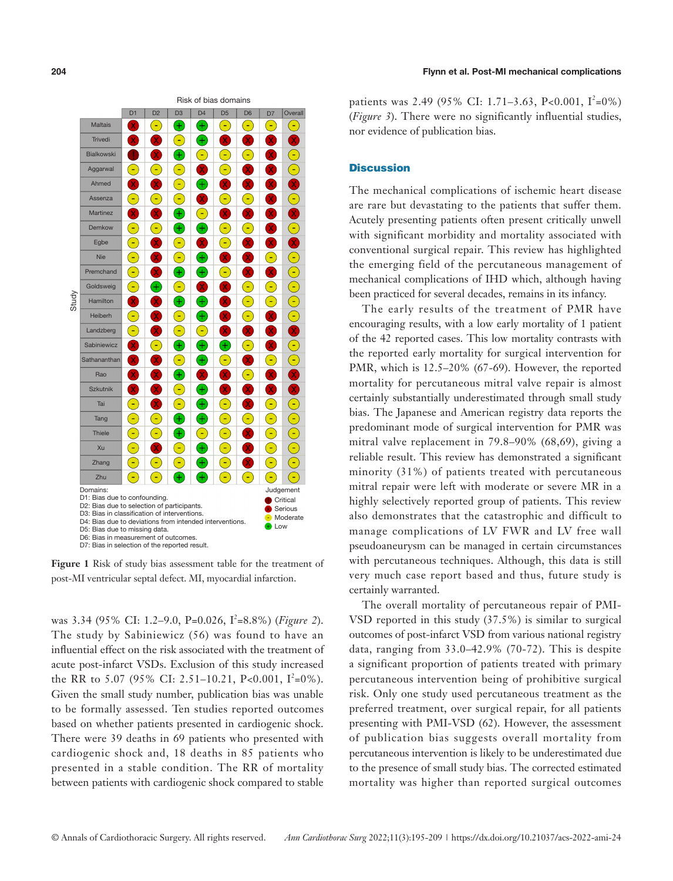

**Figure 1** Risk of study bias assessment table for the treatment of post-MI ventricular septal defect. MI, myocardial infarction.

was 3.34 (95% CI: 1.2-9.0, P=0.026, I<sup>2</sup>=8.8%) (*Figure 2*). The study by Sabiniewicz (56) was found to have an influential effect on the risk associated with the treatment of acute post-infarct VSDs. Exclusion of this study increased the RR to 5.07 (95% CI: 2.51–10.21, P<0.001,  $I^2=0\%$ ). Given the small study number, publication bias was unable to be formally assessed. Ten studies reported outcomes based on whether patients presented in cardiogenic shock. There were 39 deaths in 69 patients who presented with cardiogenic shock and, 18 deaths in 85 patients who presented in a stable condition. The RR of mortality between patients with cardiogenic shock compared to stable

patients was 2.49 (95% CI: 1.71–3.63, P<0.001,  $I^2=0\%$ ) (*Figure 3*). There were no significantly influential studies, nor evidence of publication bias.

#### **Discussion**

The mechanical complications of ischemic heart disease are rare but devastating to the patients that suffer them. Acutely presenting patients often present critically unwell with significant morbidity and mortality associated with conventional surgical repair. This review has highlighted the emerging field of the percutaneous management of mechanical complications of IHD which, although having been practiced for several decades, remains in its infancy.

The early results of the treatment of PMR have encouraging results, with a low early mortality of 1 patient of the 42 reported cases. This low mortality contrasts with the reported early mortality for surgical intervention for PMR, which is 12.5–20% (67-69). However, the reported mortality for percutaneous mitral valve repair is almost certainly substantially underestimated through small study bias. The Japanese and American registry data reports the predominant mode of surgical intervention for PMR was mitral valve replacement in 79.8–90% (68,69), giving a reliable result. This review has demonstrated a significant minority (31%) of patients treated with percutaneous mitral repair were left with moderate or severe MR in a highly selectively reported group of patients. This review also demonstrates that the catastrophic and difficult to manage complications of LV FWR and LV free wall pseudoaneurysm can be managed in certain circumstances with percutaneous techniques. Although, this data is still very much case report based and thus, future study is certainly warranted.

The overall mortality of percutaneous repair of PMI-VSD reported in this study (37.5%) is similar to surgical outcomes of post-infarct VSD from various national registry data, ranging from 33.0–42.9% (70-72). This is despite a significant proportion of patients treated with primary percutaneous intervention being of prohibitive surgical risk. Only one study used percutaneous treatment as the preferred treatment, over surgical repair, for all patients presenting with PMI-VSD (62). However, the assessment of publication bias suggests overall mortality from percutaneous intervention is likely to be underestimated due to the presence of small study bias. The corrected estimated mortality was higher than reported surgical outcomes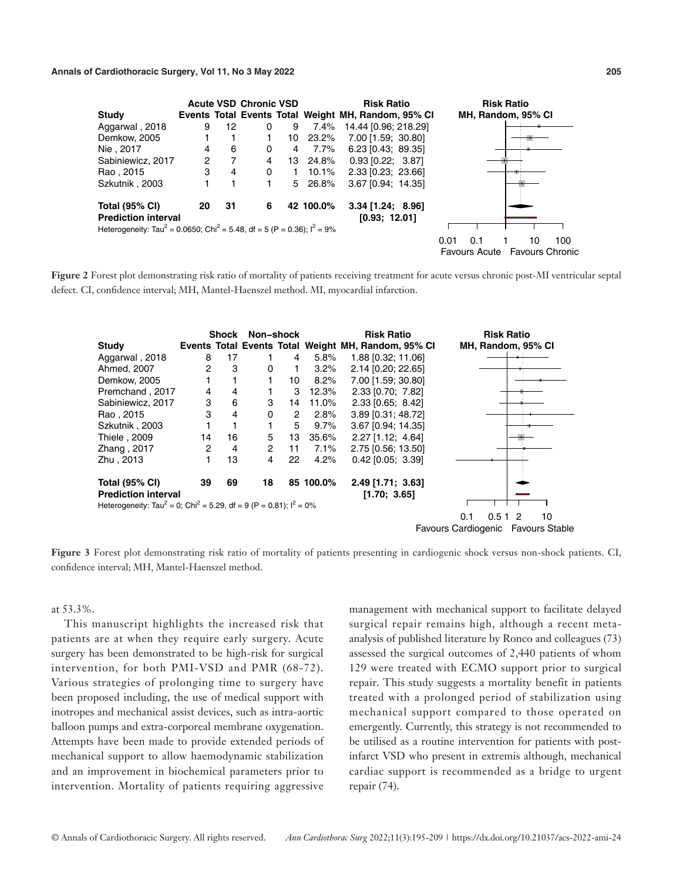|                                                                                                   |                |    | <b>Acute VSD Chronic VSD</b> |    |           | <b>Risk Ratio</b>                                   | <b>Risk Ratio</b>             |
|---------------------------------------------------------------------------------------------------|----------------|----|------------------------------|----|-----------|-----------------------------------------------------|-------------------------------|
| Study                                                                                             |                |    |                              |    |           | Events Total Events Total Weight MH, Random, 95% CI | MH, Random, 95% CI            |
| Aggarwal, 2018                                                                                    | 9              | 12 | 0                            | 9  | 7.4%      | 14.44 [0.96; 218.29]                                |                               |
| Demkow, 2005                                                                                      |                |    |                              | 10 | 23.2%     | 7.00 [1.59; 30.80]                                  |                               |
| Nie, 2017                                                                                         | 4              | 6  | 0                            | 4  | 7.7%      | $6.23$ [0.43; 89.35]                                |                               |
| Sabiniewicz, 2017                                                                                 | $\overline{2}$ |    | 4                            |    | 13 24.8%  | $0.93$ [0.22; 3.87]                                 |                               |
| Rao, 2015                                                                                         | 3              | 4  | 0                            |    | 10.1%     | 2.33 [0.23; 23.66]                                  |                               |
| Szkutnik, 2003                                                                                    |                |    |                              | 5  | 26.8%     | 3.67 [0.94; 14.35]                                  |                               |
| <b>Total (95% CI)</b><br><b>Prediction interval</b>                                               | 20             | 31 | 6                            |    | 42 100.0% | $3.34$ [1.24; 8.96]<br>[0.93; 12.01]                |                               |
| Heterogeneity: Tau <sup>2</sup> = 0.0650; Chi <sup>2</sup> = 5.48, df = 5 (P = 0.36); $I^2 = 9\%$ |                |    |                              |    |           |                                                     |                               |
|                                                                                                   |                |    |                              |    |           |                                                     | 100<br>0.01<br>0.1<br>10      |
|                                                                                                   |                |    |                              |    |           |                                                     |                               |
|                                                                                                   |                |    |                              |    |           |                                                     | Favours Acute Favours Chronic |

Figure 2 Forest plot demonstrating risk ratio of mortality of patients receiving treatment for acute versus chronic post-MI ventricular septal defect. CI, confidence interval; MH, Mantel-Haenszel method. MI, myocardial infarction.



**Figure 3** Forest plot demonstrating risk ratio of mortality of patients presenting in cardiogenic shock versus non-shock patients. CI, confidence interval; MH, Mantel-Haenszel method.

at 53.3%.

This manuscript highlights the increased risk that patients are at when they require early surgery. Acute surgery has been demonstrated to be high-risk for surgical intervention, for both PMI-VSD and PMR (68-72). Various strategies of prolonging time to surgery have been proposed including, the use of medical support with inotropes and mechanical assist devices, such as intra-aortic balloon pumps and extra-corporeal membrane oxygenation. Attempts have been made to provide extended periods of mechanical support to allow haemodynamic stabilization and an improvement in biochemical parameters prior to intervention. Mortality of patients requiring aggressive management with mechanical support to facilitate delayed surgical repair remains high, although a recent metaanalysis of published literature by Ronco and colleagues (73) assessed the surgical outcomes of 2,440 patients of whom 129 were treated with ECMO support prior to surgical repair. This study suggests a mortality benefit in patients treated with a prolonged period of stabilization using mechanical support compared to those operated on emergently. Currently, this strategy is not recommended to be utilised as a routine intervention for patients with postinfarct VSD who present in extremis although, mechanical cardiac support is recommended as a bridge to urgent repair (74).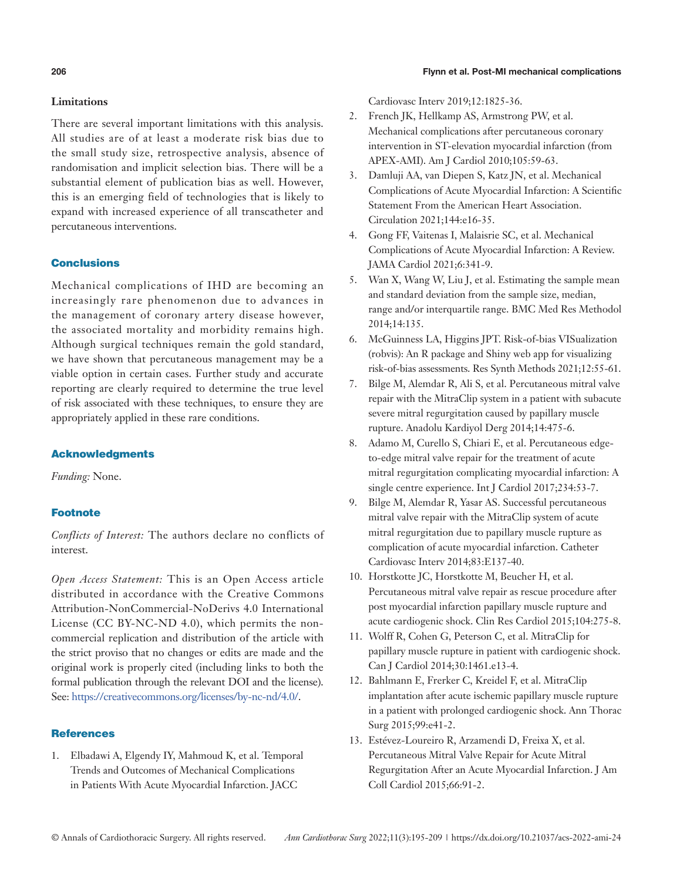# **206** Flynn et al. Post-MI mechanical complications

# **Limitations**

There are several important limitations with this analysis. All studies are of at least a moderate risk bias due to the small study size, retrospective analysis, absence of randomisation and implicit selection bias. There will be a substantial element of publication bias as well. However, this is an emerging field of technologies that is likely to expand with increased experience of all transcatheter and percutaneous interventions.

# Conclusions

Mechanical complications of IHD are becoming an increasingly rare phenomenon due to advances in the management of coronary artery disease however, the associated mortality and morbidity remains high. Although surgical techniques remain the gold standard, we have shown that percutaneous management may be a viable option in certain cases. Further study and accurate reporting are clearly required to determine the true level of risk associated with these techniques, to ensure they are appropriately applied in these rare conditions.

# Acknowledgments

*Funding:* None.

# **Footnote**

*Conflicts of Interest:* The authors declare no conflicts of interest.

*Open Access Statement:* This is an Open Access article distributed in accordance with the Creative Commons Attribution-NonCommercial-NoDerivs 4.0 International License (CC BY-NC-ND 4.0), which permits the noncommercial replication and distribution of the article with the strict proviso that no changes or edits are made and the original work is properly cited (including links to both the formal publication through the relevant DOI and the license). See: [https://creativecommons.org/licenses/by-nc-nd/4.0/.](https://creativecommons.org/licenses/by-nc-nd/4.0/)

# **References**

1. Elbadawi A, Elgendy IY, Mahmoud K, et al. Temporal Trends and Outcomes of Mechanical Complications in Patients With Acute Myocardial Infarction. JACC

Cardiovasc Interv 2019;12:1825-36.

- 2. French JK, Hellkamp AS, Armstrong PW, et al. Mechanical complications after percutaneous coronary intervention in ST-elevation myocardial infarction (from APEX-AMI). Am J Cardiol 2010;105:59-63.
- 3. Damluji AA, van Diepen S, Katz JN, et al. Mechanical Complications of Acute Myocardial Infarction: A Scientific Statement From the American Heart Association. Circulation 2021;144:e16-35.
- 4. Gong FF, Vaitenas I, Malaisrie SC, et al. Mechanical Complications of Acute Myocardial Infarction: A Review. JAMA Cardiol 2021;6:341-9.
- 5. Wan X, Wang W, Liu J, et al. Estimating the sample mean and standard deviation from the sample size, median, range and/or interquartile range. BMC Med Res Methodol 2014;14:135.
- 6. McGuinness LA, Higgins JPT. Risk-of-bias VISualization (robvis): An R package and Shiny web app for visualizing risk-of-bias assessments. Res Synth Methods 2021;12:55-61.
- 7. Bilge M, Alemdar R, Ali S, et al. Percutaneous mitral valve repair with the MitraClip system in a patient with subacute severe mitral regurgitation caused by papillary muscle rupture. Anadolu Kardiyol Derg 2014;14:475-6.
- 8. Adamo M, Curello S, Chiari E, et al. Percutaneous edgeto-edge mitral valve repair for the treatment of acute mitral regurgitation complicating myocardial infarction: A single centre experience. Int J Cardiol 2017;234:53-7.
- 9. Bilge M, Alemdar R, Yasar AS. Successful percutaneous mitral valve repair with the MitraClip system of acute mitral regurgitation due to papillary muscle rupture as complication of acute myocardial infarction. Catheter Cardiovasc Interv 2014;83:E137-40.
- 10. Horstkotte JC, Horstkotte M, Beucher H, et al. Percutaneous mitral valve repair as rescue procedure after post myocardial infarction papillary muscle rupture and acute cardiogenic shock. Clin Res Cardiol 2015;104:275-8.
- 11. Wolff R, Cohen G, Peterson C, et al. MitraClip for papillary muscle rupture in patient with cardiogenic shock. Can J Cardiol 2014;30:1461.e13-4.
- 12. Bahlmann E, Frerker C, Kreidel F, et al. MitraClip implantation after acute ischemic papillary muscle rupture in a patient with prolonged cardiogenic shock. Ann Thorac Surg 2015;99:e41-2.
- 13. Estévez-Loureiro R, Arzamendi D, Freixa X, et al. Percutaneous Mitral Valve Repair for Acute Mitral Regurgitation After an Acute Myocardial Infarction. J Am Coll Cardiol 2015;66:91-2.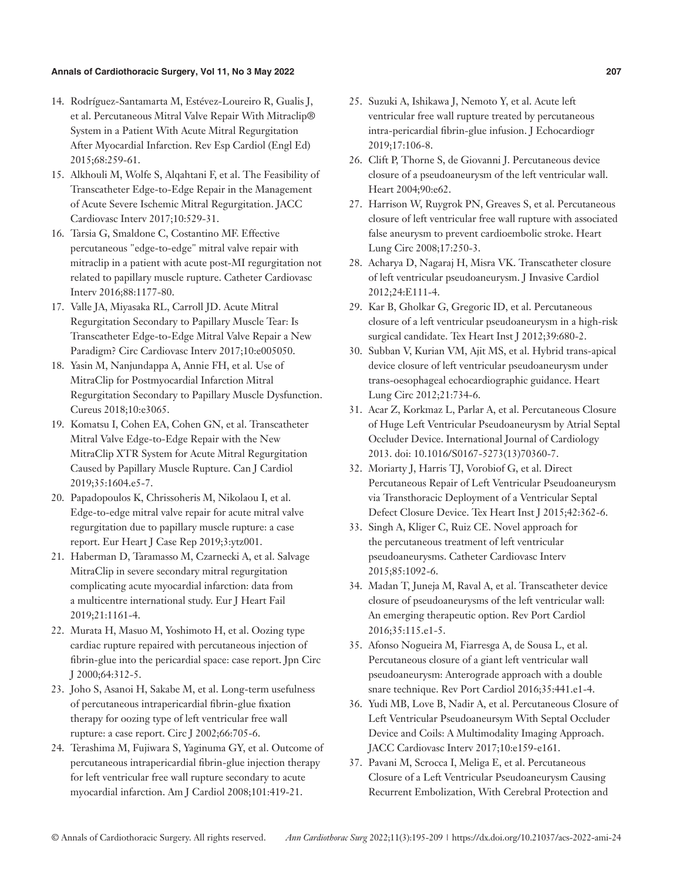- 14. Rodríguez-Santamarta M, Estévez-Loureiro R, Gualis J, et al. Percutaneous Mitral Valve Repair With Mitraclip® System in a Patient With Acute Mitral Regurgitation After Myocardial Infarction. Rev Esp Cardiol (Engl Ed) 2015;68:259-61.
- 15. Alkhouli M, Wolfe S, Alqahtani F, et al. The Feasibility of Transcatheter Edge-to-Edge Repair in the Management of Acute Severe Ischemic Mitral Regurgitation. JACC Cardiovasc Interv 2017;10:529-31.
- 16. Tarsia G, Smaldone C, Costantino MF. Effective percutaneous "edge-to-edge" mitral valve repair with mitraclip in a patient with acute post-MI regurgitation not related to papillary muscle rupture. Catheter Cardiovasc Interv 2016;88:1177-80.
- 17. Valle JA, Miyasaka RL, Carroll JD. Acute Mitral Regurgitation Secondary to Papillary Muscle Tear: Is Transcatheter Edge-to-Edge Mitral Valve Repair a New Paradigm? Circ Cardiovasc Interv 2017;10:e005050.
- 18. Yasin M, Nanjundappa A, Annie FH, et al. Use of MitraClip for Postmyocardial Infarction Mitral Regurgitation Secondary to Papillary Muscle Dysfunction. Cureus 2018;10:e3065.
- 19. Komatsu I, Cohen EA, Cohen GN, et al. Transcatheter Mitral Valve Edge-to-Edge Repair with the New MitraClip XTR System for Acute Mitral Regurgitation Caused by Papillary Muscle Rupture. Can J Cardiol 2019;35:1604.e5-7.
- 20. Papadopoulos K, Chrissoheris M, Nikolaou I, et al. Edge-to-edge mitral valve repair for acute mitral valve regurgitation due to papillary muscle rupture: a case report. Eur Heart J Case Rep 2019;3:ytz001.
- 21. Haberman D, Taramasso M, Czarnecki A, et al. Salvage MitraClip in severe secondary mitral regurgitation complicating acute myocardial infarction: data from a multicentre international study. Eur J Heart Fail 2019;21:1161-4.
- 22. Murata H, Masuo M, Yoshimoto H, et al. Oozing type cardiac rupture repaired with percutaneous injection of fibrin-glue into the pericardial space: case report. Jpn Circ J 2000;64:312-5.
- 23. Joho S, Asanoi H, Sakabe M, et al. Long-term usefulness of percutaneous intrapericardial fibrin-glue fixation therapy for oozing type of left ventricular free wall rupture: a case report. Circ J 2002;66:705-6.
- 24. Terashima M, Fujiwara S, Yaginuma GY, et al. Outcome of percutaneous intrapericardial fibrin-glue injection therapy for left ventricular free wall rupture secondary to acute myocardial infarction. Am J Cardiol 2008;101:419-21.
- 25. Suzuki A, Ishikawa J, Nemoto Y, et al. Acute left ventricular free wall rupture treated by percutaneous intra-pericardial fibrin-glue infusion. J Echocardiogr 2019;17:106-8.
- 26. Clift P, Thorne S, de Giovanni J. Percutaneous device closure of a pseudoaneurysm of the left ventricular wall. Heart 2004;90:e62.
- 27. Harrison W, Ruygrok PN, Greaves S, et al. Percutaneous closure of left ventricular free wall rupture with associated false aneurysm to prevent cardioembolic stroke. Heart Lung Circ 2008;17:250-3.
- 28. Acharya D, Nagaraj H, Misra VK. Transcatheter closure of left ventricular pseudoaneurysm. J Invasive Cardiol 2012;24:E111-4.
- 29. Kar B, Gholkar G, Gregoric ID, et al. Percutaneous closure of a left ventricular pseudoaneurysm in a high-risk surgical candidate. Tex Heart Inst J 2012;39:680-2.
- 30. Subban V, Kurian VM, Ajit MS, et al. Hybrid trans-apical device closure of left ventricular pseudoaneurysm under trans-oesophageal echocardiographic guidance. Heart Lung Circ 2012;21:734-6.
- 31. Acar Z, Korkmaz L, Parlar A, et al. Percutaneous Closure of Huge Left Ventricular Pseudoaneurysm by Atrial Septal Occluder Device. International Journal of Cardiology 2013. doi: 10.1016/S0167-5273(13)70360-7.
- 32. Moriarty J, Harris TJ, Vorobiof G, et al. Direct Percutaneous Repair of Left Ventricular Pseudoaneurysm via Transthoracic Deployment of a Ventricular Septal Defect Closure Device. Tex Heart Inst J 2015;42:362-6.
- 33. Singh A, Kliger C, Ruiz CE. Novel approach for the percutaneous treatment of left ventricular pseudoaneurysms. Catheter Cardiovasc Interv 2015;85:1092-6.
- 34. Madan T, Juneja M, Raval A, et al. Transcatheter device closure of pseudoaneurysms of the left ventricular wall: An emerging therapeutic option. Rev Port Cardiol 2016;35:115.e1-5.
- 35. Afonso Nogueira M, Fiarresga A, de Sousa L, et al. Percutaneous closure of a giant left ventricular wall pseudoaneurysm: Anterograde approach with a double snare technique. Rev Port Cardiol 2016;35:441.e1-4.
- 36. Yudi MB, Love B, Nadir A, et al. Percutaneous Closure of Left Ventricular Pseudoaneursym With Septal Occluder Device and Coils: A Multimodality Imaging Approach. JACC Cardiovasc Interv 2017;10:e159-e161.
- 37. Pavani M, Scrocca I, Meliga E, et al. Percutaneous Closure of a Left Ventricular Pseudoaneurysm Causing Recurrent Embolization, With Cerebral Protection and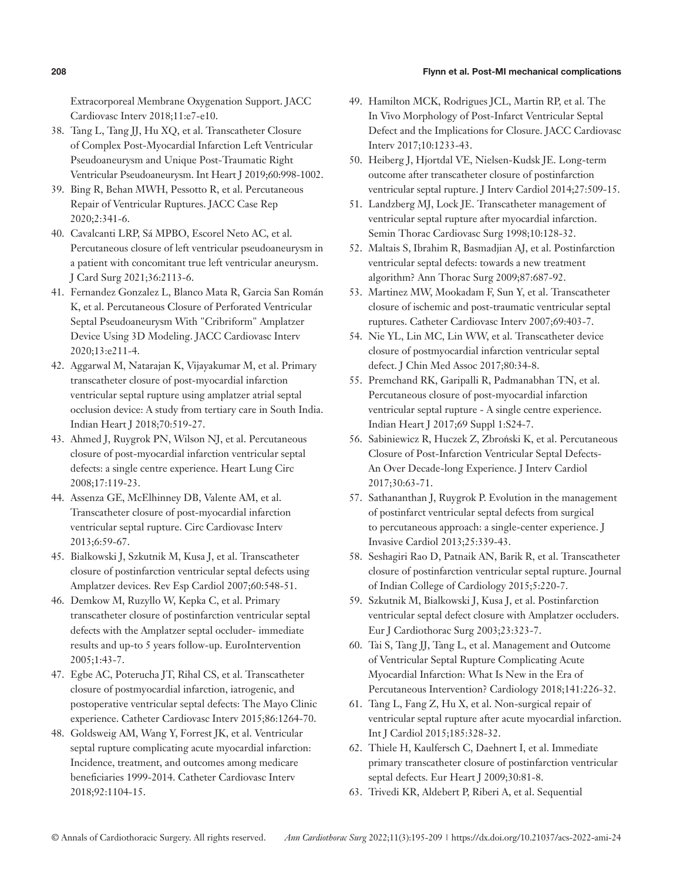# **208** Flynn et al. Post-MI mechanical complications

Extracorporeal Membrane Oxygenation Support. JACC Cardiovasc Interv 2018;11:e7-e10.

- 38. Tang L, Tang JJ, Hu XQ, et al. Transcatheter Closure of Complex Post-Myocardial Infarction Left Ventricular Pseudoaneurysm and Unique Post-Traumatic Right Ventricular Pseudoaneurysm. Int Heart J 2019;60:998-1002.
- 39. Bing R, Behan MWH, Pessotto R, et al. Percutaneous Repair of Ventricular Ruptures. JACC Case Rep 2020;2:341-6.
- 40. Cavalcanti LRP, Sá MPBO, Escorel Neto AC, et al. Percutaneous closure of left ventricular pseudoaneurysm in a patient with concomitant true left ventricular aneurysm. J Card Surg 2021;36:2113-6.
- 41. Fernandez Gonzalez L, Blanco Mata R, Garcia San Román K, et al. Percutaneous Closure of Perforated Ventricular Septal Pseudoaneurysm With "Cribriform" Amplatzer Device Using 3D Modeling. JACC Cardiovasc Interv 2020;13:e211-4.
- 42. Aggarwal M, Natarajan K, Vijayakumar M, et al. Primary transcatheter closure of post-myocardial infarction ventricular septal rupture using amplatzer atrial septal occlusion device: A study from tertiary care in South India. Indian Heart J 2018;70:519-27.
- 43. Ahmed J, Ruygrok PN, Wilson NJ, et al. Percutaneous closure of post-myocardial infarction ventricular septal defects: a single centre experience. Heart Lung Circ 2008;17:119-23.
- 44. Assenza GE, McElhinney DB, Valente AM, et al. Transcatheter closure of post-myocardial infarction ventricular septal rupture. Circ Cardiovasc Interv 2013;6:59-67.
- 45. Bialkowski J, Szkutnik M, Kusa J, et al. Transcatheter closure of postinfarction ventricular septal defects using Amplatzer devices. Rev Esp Cardiol 2007;60:548-51.
- 46. Demkow M, Ruzyllo W, Kepka C, et al. Primary transcatheter closure of postinfarction ventricular septal defects with the Amplatzer septal occluder- immediate results and up-to 5 years follow-up. EuroIntervention 2005;1:43-7.
- 47. Egbe AC, Poterucha JT, Rihal CS, et al. Transcatheter closure of postmyocardial infarction, iatrogenic, and postoperative ventricular septal defects: The Mayo Clinic experience. Catheter Cardiovasc Interv 2015;86:1264-70.
- 48. Goldsweig AM, Wang Y, Forrest JK, et al. Ventricular septal rupture complicating acute myocardial infarction: Incidence, treatment, and outcomes among medicare beneficiaries 1999-2014. Catheter Cardiovasc Interv 2018;92:1104-15.
- 49. Hamilton MCK, Rodrigues JCL, Martin RP, et al. The In Vivo Morphology of Post-Infarct Ventricular Septal Defect and the Implications for Closure. JACC Cardiovasc Interv 2017;10:1233-43.
- 50. Heiberg J, Hjortdal VE, Nielsen-Kudsk JE. Long-term outcome after transcatheter closure of postinfarction ventricular septal rupture. J Interv Cardiol 2014;27:509-15.
- 51. Landzberg MJ, Lock JE. Transcatheter management of ventricular septal rupture after myocardial infarction. Semin Thorac Cardiovasc Surg 1998;10:128-32.
- 52. Maltais S, Ibrahim R, Basmadjian AJ, et al. Postinfarction ventricular septal defects: towards a new treatment algorithm? Ann Thorac Surg 2009;87:687-92.
- 53. Martinez MW, Mookadam F, Sun Y, et al. Transcatheter closure of ischemic and post-traumatic ventricular septal ruptures. Catheter Cardiovasc Interv 2007;69:403-7.
- 54. Nie YL, Lin MC, Lin WW, et al. Transcatheter device closure of postmyocardial infarction ventricular septal defect. J Chin Med Assoc 2017;80:34-8.
- 55. Premchand RK, Garipalli R, Padmanabhan TN, et al. Percutaneous closure of post-myocardial infarction ventricular septal rupture - A single centre experience. Indian Heart J 2017;69 Suppl 1:S24-7.
- 56. Sabiniewicz R, Huczek Z, Zbroński K, et al. Percutaneous Closure of Post-Infarction Ventricular Septal Defects-An Over Decade-long Experience. J Interv Cardiol 2017;30:63-71.
- 57. Sathananthan J, Ruygrok P. Evolution in the management of postinfarct ventricular septal defects from surgical to percutaneous approach: a single-center experience. J Invasive Cardiol 2013;25:339-43.
- 58. Seshagiri Rao D, Patnaik AN, Barik R, et al. Transcatheter closure of postinfarction ventricular septal rupture. Journal of Indian College of Cardiology 2015;5:220-7.
- 59. Szkutnik M, Bialkowski J, Kusa J, et al. Postinfarction ventricular septal defect closure with Amplatzer occluders. Eur J Cardiothorac Surg 2003;23:323-7.
- 60. Tai S, Tang JJ, Tang L, et al. Management and Outcome of Ventricular Septal Rupture Complicating Acute Myocardial Infarction: What Is New in the Era of Percutaneous Intervention? Cardiology 2018;141:226-32.
- 61. Tang L, Fang Z, Hu X, et al. Non-surgical repair of ventricular septal rupture after acute myocardial infarction. Int J Cardiol 2015;185:328-32.
- 62. Thiele H, Kaulfersch C, Daehnert I, et al. Immediate primary transcatheter closure of postinfarction ventricular septal defects. Eur Heart J 2009;30:81-8.
- 63. Trivedi KR, Aldebert P, Riberi A, et al. Sequential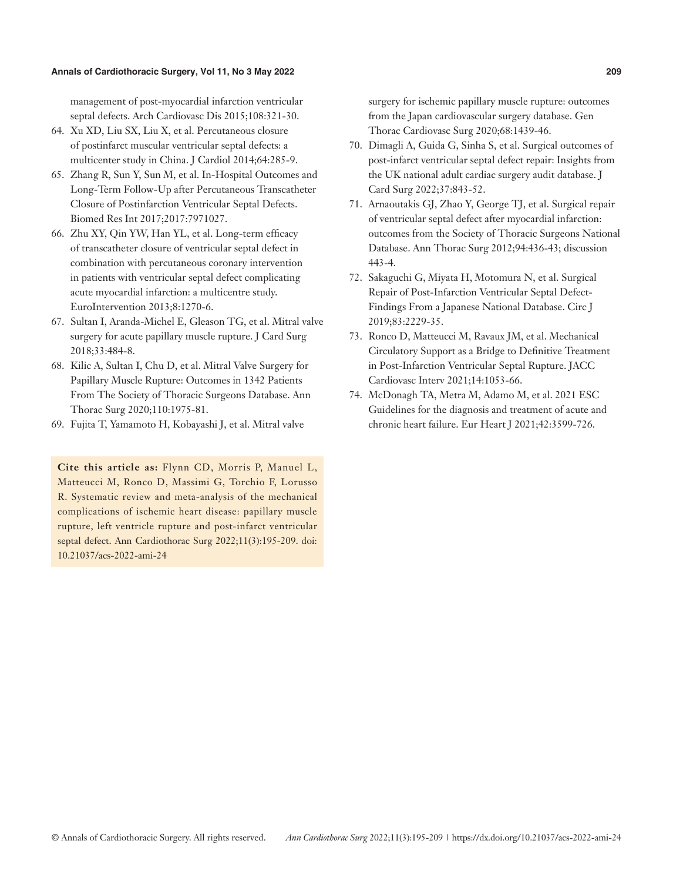management of post-myocardial infarction ventricular septal defects. Arch Cardiovasc Dis 2015;108:321-30.

- 64. Xu XD, Liu SX, Liu X, et al. Percutaneous closure of postinfarct muscular ventricular septal defects: a multicenter study in China. J Cardiol 2014;64:285-9.
- 65. Zhang R, Sun Y, Sun M, et al. In-Hospital Outcomes and Long-Term Follow-Up after Percutaneous Transcatheter Closure of Postinfarction Ventricular Septal Defects. Biomed Res Int 2017;2017:7971027.
- 66. Zhu XY, Qin YW, Han YL, et al. Long-term efficacy of transcatheter closure of ventricular septal defect in combination with percutaneous coronary intervention in patients with ventricular septal defect complicating acute myocardial infarction: a multicentre study. EuroIntervention 2013;8:1270-6.
- 67. Sultan I, Aranda-Michel E, Gleason TG, et al. Mitral valve surgery for acute papillary muscle rupture. J Card Surg 2018;33:484-8.
- 68. Kilic A, Sultan I, Chu D, et al. Mitral Valve Surgery for Papillary Muscle Rupture: Outcomes in 1342 Patients From The Society of Thoracic Surgeons Database. Ann Thorac Surg 2020;110:1975-81.
- 69. Fujita T, Yamamoto H, Kobayashi J, et al. Mitral valve

**Cite this article as:** Flynn CD, Morris P, Manuel L, Matteucci M, Ronco D, Massimi G, Torchio F, Lorusso R. Systematic review and meta-analysis of the mechanical complications of ischemic heart disease: papillary muscle rupture, left ventricle rupture and post-infarct ventricular septal defect. Ann Cardiothorac Surg 2022;11(3):195-209. doi: 10.21037/acs-2022-ami-24

surgery for ischemic papillary muscle rupture: outcomes from the Japan cardiovascular surgery database. Gen Thorac Cardiovasc Surg 2020;68:1439-46.

- 70. Dimagli A, Guida G, Sinha S, et al. Surgical outcomes of post-infarct ventricular septal defect repair: Insights from the UK national adult cardiac surgery audit database. J Card Surg 2022;37:843-52.
- 71. Arnaoutakis GJ, Zhao Y, George TJ, et al. Surgical repair of ventricular septal defect after myocardial infarction: outcomes from the Society of Thoracic Surgeons National Database. Ann Thorac Surg 2012;94:436-43; discussion 443-4.
- 72. Sakaguchi G, Miyata H, Motomura N, et al. Surgical Repair of Post-Infarction Ventricular Septal Defect-Findings From a Japanese National Database. Circ J 2019;83:2229-35.
- 73. Ronco D, Matteucci M, Ravaux JM, et al. Mechanical Circulatory Support as a Bridge to Definitive Treatment in Post-Infarction Ventricular Septal Rupture. JACC Cardiovasc Interv 2021;14:1053-66.
- 74. McDonagh TA, Metra M, Adamo M, et al. 2021 ESC Guidelines for the diagnosis and treatment of acute and chronic heart failure. Eur Heart J 2021;42:3599-726.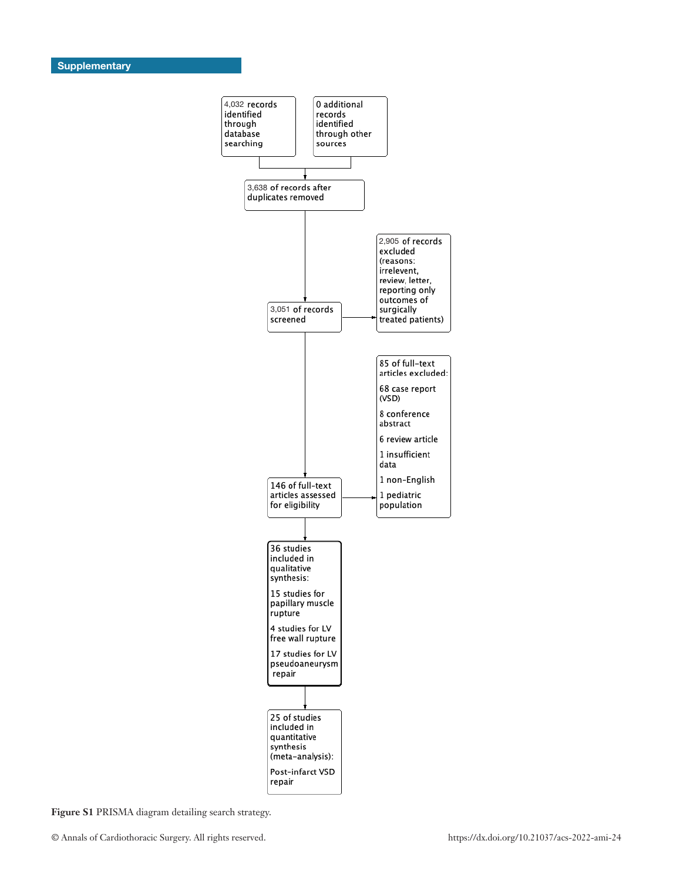

**Figure S1** PRISMA diagram detailing search strategy.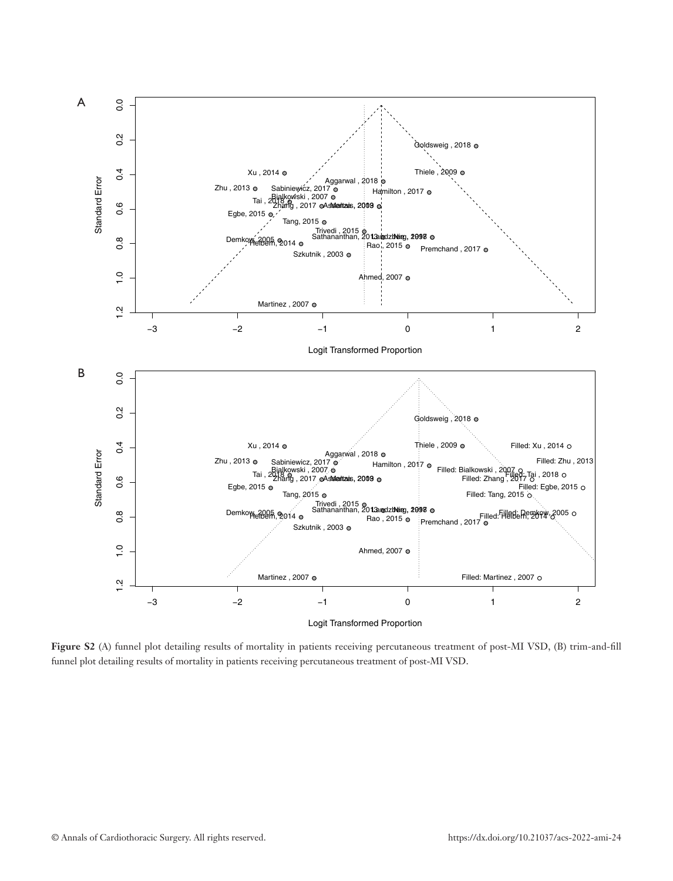

**Figure S2** (A) funnel plot detailing results of mortality in patients receiving percutaneous treatment of post-MI VSD, (B) trim-and-fill funnel plot detailing results of mortality in patients receiving percutaneous treatment of post-MI VSD.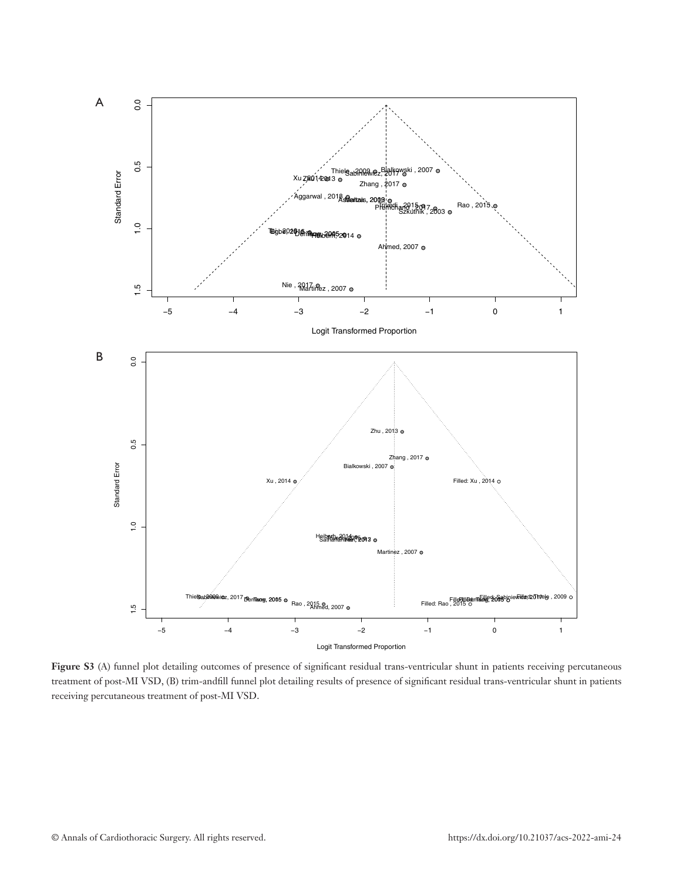

Figure S3 (A) funnel plot detailing outcomes of presence of significant residual trans-ventricular shunt in patients receiving percutaneous treatment of post-MI VSD, (B) trim-andfill funnel plot detailing results of presence of significant residual trans-ventricular shunt in patients receiving percutaneous treatment of post-MI VSD.